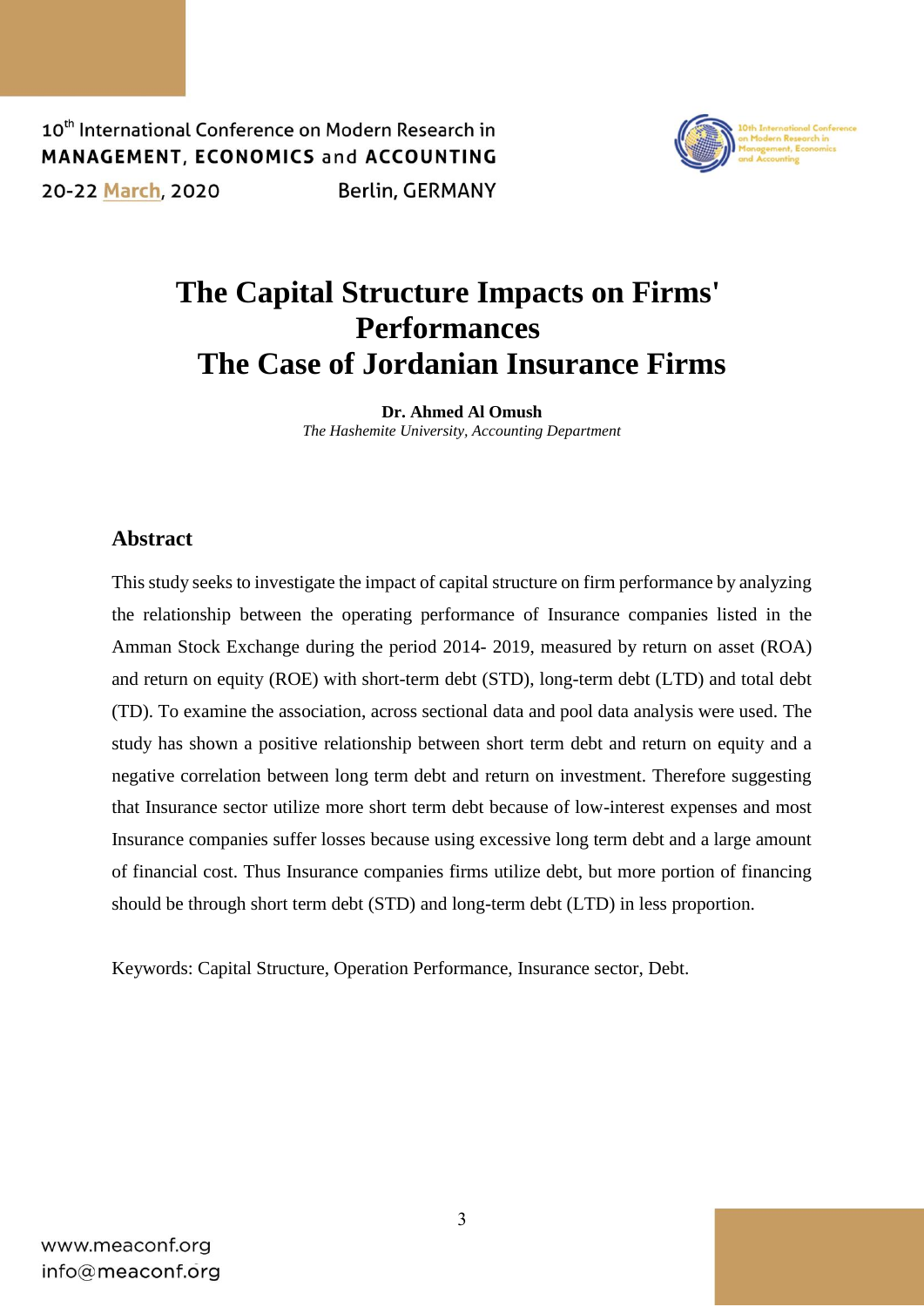10<sup>th</sup> International Conference on Modern Research in **MANAGEMENT, ECONOMICS and ACCOUNTING** 20-22 March, 2020 **Berlin, GERMANY** 



# **The Capital Structure Impacts on Firms' Performances The Case of Jordanian Insurance Firms**

**Dr. Ahmed Al Omush** *The Hashemite University, Accounting Department*

#### **Abstract**

This study seeks to investigate the impact of capital structure on firm performance by analyzing the relationship between the operating performance of Insurance companies listed in the Amman Stock Exchange during the period 2014- 2019, measured by return on asset (ROA) and return on equity (ROE) with short-term debt (STD), long-term debt (LTD) and total debt (TD). To examine the association, across sectional data and pool data analysis were used. The study has shown a positive relationship between short term debt and return on equity and a negative correlation between long term debt and return on investment. Therefore suggesting that Insurance sector utilize more short term debt because of low-interest expenses and most Insurance companies suffer losses because using excessive long term debt and a large amount of financial cost. Thus Insurance companies firms utilize debt, but more portion of financing should be through short term debt (STD) and long-term debt (LTD) in less proportion.

Keywords: Capital Structure, Operation Performance, Insurance sector, Debt.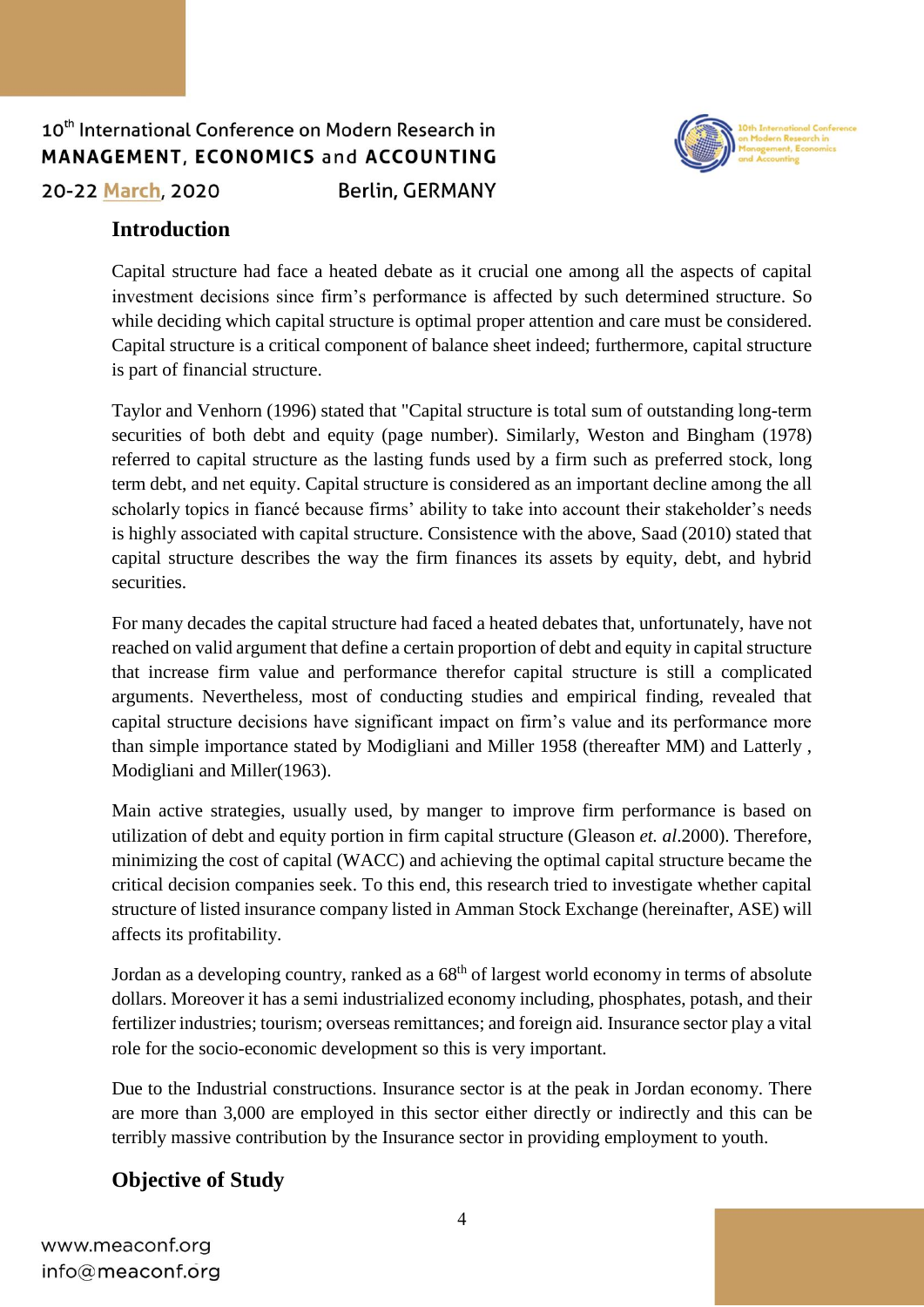

20-22 March, 2020

### **Introduction**

Capital structure had face a heated debate as it crucial one among all the aspects of capital investment decisions since firm's performance is affected by such determined structure. So while deciding which capital structure is optimal proper attention and care must be considered. Capital structure is a critical component of balance sheet indeed; furthermore, capital structure is part of financial structure.

**Berlin, GERMANY** 

Taylor and Venhorn (1996) stated that "Capital structure is total sum of outstanding long-term securities of both debt and equity (page number). Similarly, Weston and Bingham (1978) referred to capital structure as the lasting funds used by a firm such as preferred stock, long term debt, and net equity. Capital structure is considered as an important decline among the all scholarly topics in fiancé because firms' ability to take into account their stakeholder's needs is highly associated with capital structure. Consistence with the above, Saad (2010) stated that capital structure describes the way the firm finances its assets by equity, debt, and hybrid securities.

For many decades the capital structure had faced a heated debates that, unfortunately, have not reached on valid argument that define a certain proportion of debt and equity in capital structure that increase firm value and performance therefor capital structure is still a complicated arguments. Nevertheless, most of conducting studies and empirical finding, revealed that capital structure decisions have significant impact on firm's value and its performance more than simple importance stated by Modigliani and Miller 1958 (thereafter MM) and Latterly , Modigliani and Miller(1963).

Main active strategies, usually used, by manger to improve firm performance is based on utilization of debt and equity portion in firm capital structure (Gleason *et. al*.2000). Therefore, minimizing the cost of capital (WACC) and achieving the optimal capital structure became the critical decision companies seek. To this end, this research tried to investigate whether capital structure of listed insurance company listed in Amman Stock Exchange (hereinafter, ASE) will affects its profitability.

Jordan as a developing country, ranked as a  $68<sup>th</sup>$  of largest world economy in terms of absolute dollars. Moreover it has a semi industrialized economy including, phosphates, potash, and their fertilizer industries; tourism; overseas remittances; and foreign aid. Insurance sector play a vital role for the socio-economic development so this is very important.

Due to the Industrial constructions. Insurance sector is at the peak in Jordan economy. There are more than 3,000 are employed in this sector either directly or indirectly and this can be terribly massive contribution by the Insurance sector in providing employment to youth.

# **Objective of Study**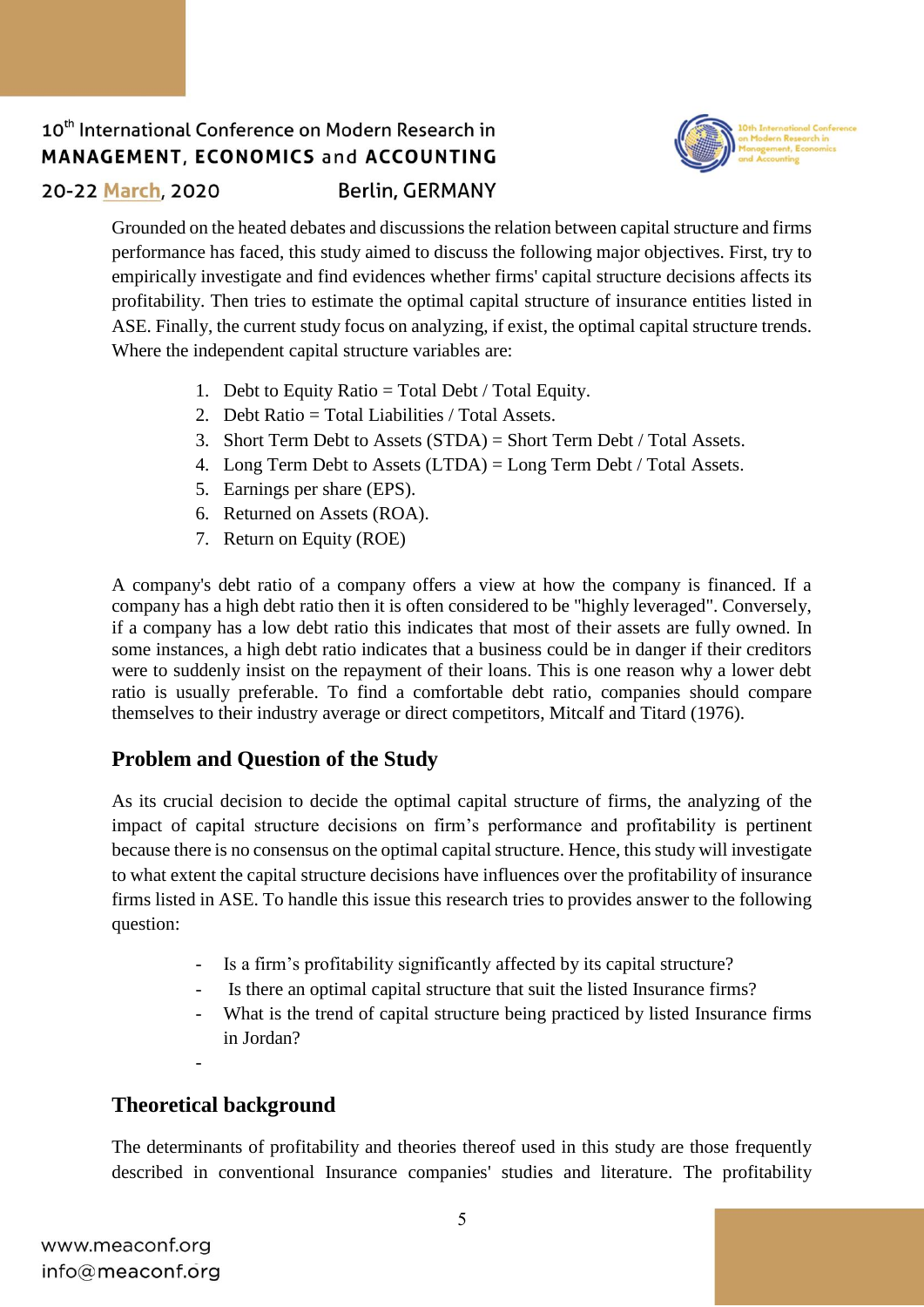

#### 20-22 March, 2020

**Berlin, GERMANY** 

Grounded on the heated debates and discussions the relation between capital structure and firms performance has faced, this study aimed to discuss the following major objectives. First, try to empirically investigate and find evidences whether firms' capital structure decisions affects its profitability. Then tries to estimate the optimal capital structure of insurance entities listed in ASE. Finally, the current study focus on analyzing, if exist, the optimal capital structure trends. Where the independent capital structure variables are:

- 1. Debt to Equity Ratio  $=$  Total Debt / Total Equity.
- 2. Debt Ratio = Total Liabilities / Total Assets.
- 3. Short Term Debt to Assets (STDA) = Short Term Debt / Total Assets.
- 4. Long Term Debt to Assets (LTDA) = Long Term Debt / Total Assets.
- 5. Earnings per share (EPS).
- 6. Returned on Assets (ROA).
- 7. Return on Equity (ROE)

A company's debt ratio of a company offers a view at how the company is financed. If a company has a high debt ratio then it is often considered to be "highly leveraged". Conversely, if a company has a low debt ratio this indicates that most of their assets are fully owned. In some instances, a high debt ratio indicates that a business could be in danger if their creditors were to suddenly insist on the repayment of their loans. This is one reason why a lower debt ratio is usually preferable. To find a comfortable debt ratio, companies should compare themselves to their industry average or direct competitors, Mitcalf and Titard (1976).

# **Problem and Question of the Study**

As its crucial decision to decide the optimal capital structure of firms, the analyzing of the impact of capital structure decisions on firm's performance and profitability is pertinent because there is no consensus on the optimal capital structure. Hence, this study will investigate to what extent the capital structure decisions have influences over the profitability of insurance firms listed in ASE. To handle this issue this research tries to provides answer to the following question:

- Is a firm's profitability significantly affected by its capital structure?
- Is there an optimal capital structure that suit the listed Insurance firms?
- What is the trend of capital structure being practiced by listed Insurance firms in Jordan?
- **Theoretical background**

-

The determinants of profitability and theories thereof used in this study are those frequently described in conventional Insurance companies' studies and literature. The profitability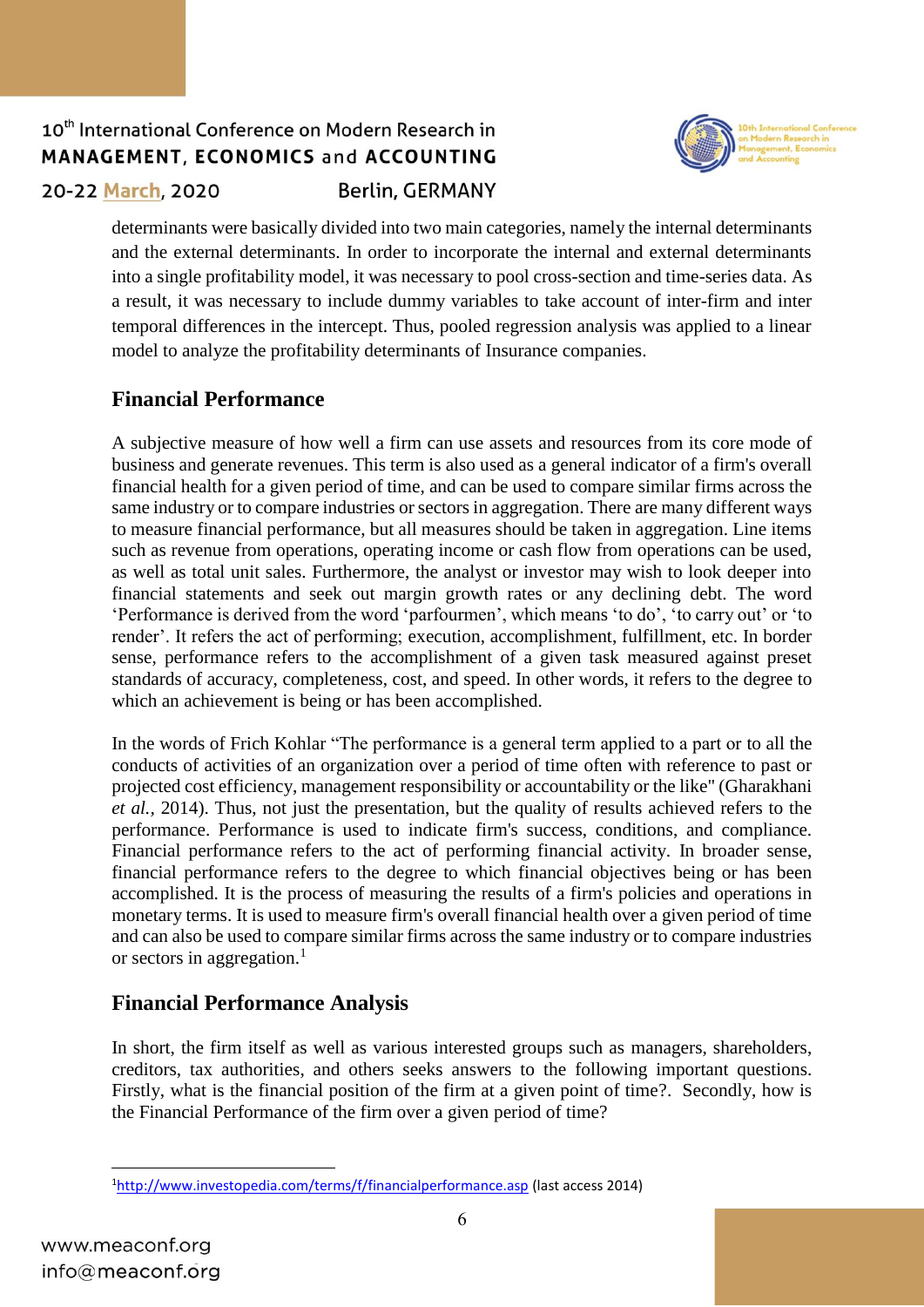

20-22 March, 2020

**Berlin, GERMANY** 

determinants were basically divided into two main categories, namely the internal determinants and the external determinants. In order to incorporate the internal and external determinants into a single profitability model, it was necessary to pool cross-section and time-series data. As a result, it was necessary to include dummy variables to take account of inter-firm and inter temporal differences in the intercept. Thus, pooled regression analysis was applied to a linear model to analyze the profitability determinants of Insurance companies.

# **Financial Performance**

A subjective measure of how well a firm can use assets and resources from its core mode of business and generate revenues. This term is also used as a general indicator of a firm's overall financial health for a given period of time, and can be used to compare similar firms across the same industry or to compare industries or sectors in aggregation. There are many different ways to measure financial performance, but all measures should be taken in aggregation. Line items such as revenue from operations, operating income or cash flow from operations can be used, as well as total unit sales. Furthermore, the analyst or investor may wish to look deeper into financial statements and seek out margin growth rates or any declining debt. The word 'Performance is derived from the word 'parfourmen', which means 'to do', 'to carry out' or 'to render'. It refers the act of performing; execution, accomplishment, fulfillment, etc. In border sense, performance refers to the accomplishment of a given task measured against preset standards of accuracy, completeness, cost, and speed. In other words, it refers to the degree to which an achievement is being or has been accomplished.

In the words of Frich Kohlar "The performance is a general term applied to a part or to all the conducts of activities of an organization over a period of time often with reference to past or projected cost efficiency, management responsibility or accountability or the like" (Gharakhani *et al.,* 2014). Thus, not just the presentation, but the quality of results achieved refers to the performance. Performance is used to indicate firm's success, conditions, and compliance. Financial performance refers to the act of performing financial activity. In broader sense, financial performance refers to the degree to which financial objectives being or has been accomplished. It is the process of measuring the results of a firm's policies and operations in monetary terms. It is used to measure firm's overall financial health over a given period of time and can also be used to compare similar firms across the same industry or to compare industries or sectors in aggregation.<sup>1</sup>

# **Financial Performance Analysis**

In short, the firm itself as well as various interested groups such as managers, shareholders, creditors, tax authorities, and others seeks answers to the following important questions. Firstly, what is the financial position of the firm at a given point of time?. Secondly, how is the Financial Performance of the firm over a given period of time?

**<sup>.</sup>** <sup>1</sup><http://www.investopedia.com/terms/f/financialperformance.asp> (last access 2014)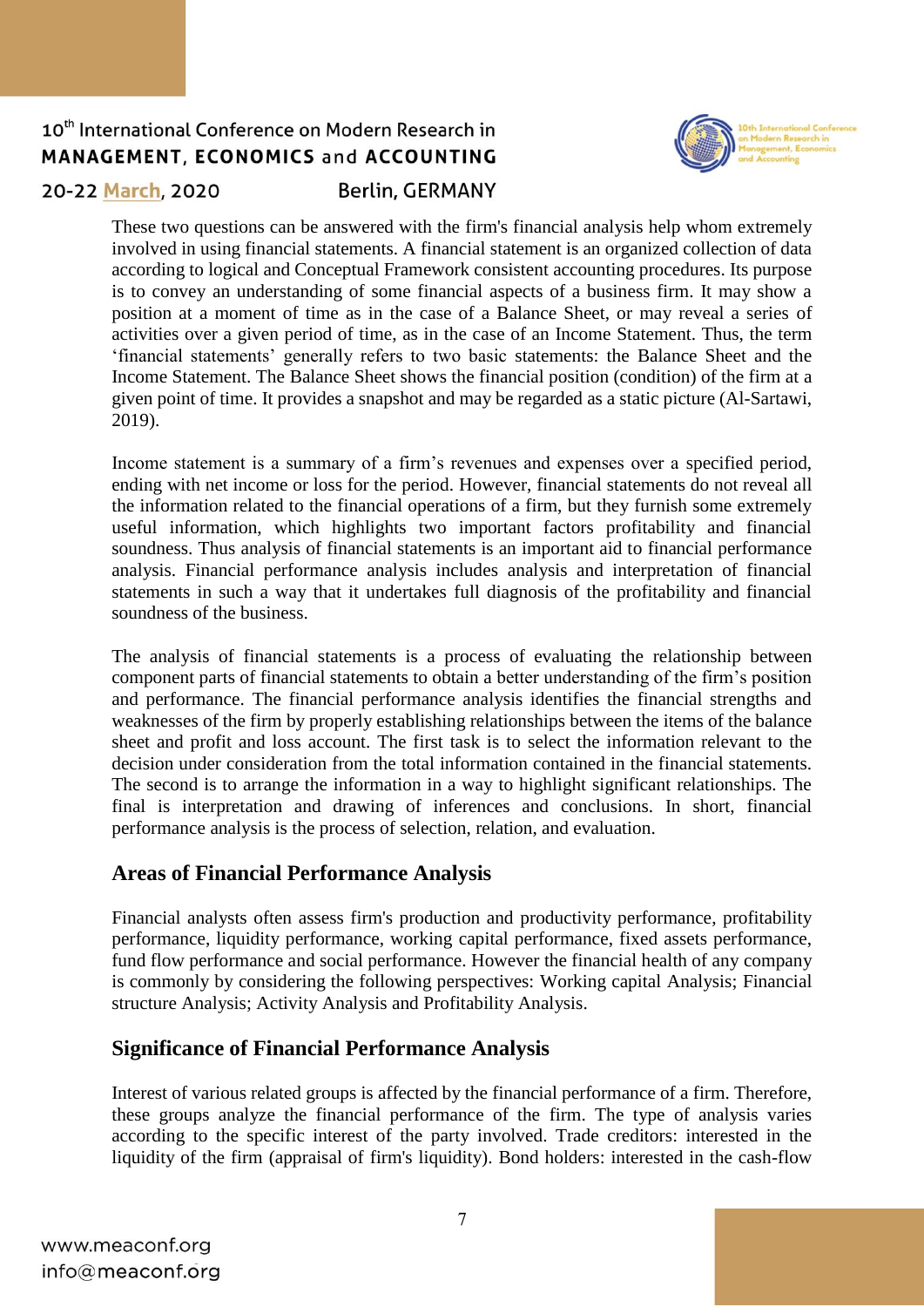

#### 20-22 March, 2020

#### **Berlin, GERMANY**

These two questions can be answered with the firm's financial analysis help whom extremely involved in using financial statements. A financial statement is an organized collection of data according to logical and Conceptual Framework consistent accounting procedures. Its purpose is to convey an understanding of some financial aspects of a business firm. It may show a position at a moment of time as in the case of a Balance Sheet, or may reveal a series of activities over a given period of time, as in the case of an Income Statement. Thus, the term 'financial statements' generally refers to two basic statements: the Balance Sheet and the Income Statement. The Balance Sheet shows the financial position (condition) of the firm at a given point of time. It provides a snapshot and may be regarded as a static picture (Al-Sartawi, 2019).

Income statement is a summary of a firm's revenues and expenses over a specified period, ending with net income or loss for the period. However, financial statements do not reveal all the information related to the financial operations of a firm, but they furnish some extremely useful information, which highlights two important factors profitability and financial soundness. Thus analysis of financial statements is an important aid to financial performance analysis. Financial performance analysis includes analysis and interpretation of financial statements in such a way that it undertakes full diagnosis of the profitability and financial soundness of the business.

The analysis of financial statements is a process of evaluating the relationship between component parts of financial statements to obtain a better understanding of the firm's position and performance. The financial performance analysis identifies the financial strengths and weaknesses of the firm by properly establishing relationships between the items of the balance sheet and profit and loss account. The first task is to select the information relevant to the decision under consideration from the total information contained in the financial statements. The second is to arrange the information in a way to highlight significant relationships. The final is interpretation and drawing of inferences and conclusions. In short, financial performance analysis is the process of selection, relation, and evaluation.

#### **Areas of Financial Performance Analysis**

Financial analysts often assess firm's production and productivity performance, profitability performance, liquidity performance, working capital performance, fixed assets performance, fund flow performance and social performance. However the financial health of any company is commonly by considering the following perspectives: Working capital Analysis; Financial structure Analysis; Activity Analysis and Profitability Analysis.

#### **Significance of Financial Performance Analysis**

Interest of various related groups is affected by the financial performance of a firm. Therefore, these groups analyze the financial performance of the firm. The type of analysis varies according to the specific interest of the party involved. Trade creditors: interested in the liquidity of the firm (appraisal of firm's liquidity). Bond holders: interested in the cash-flow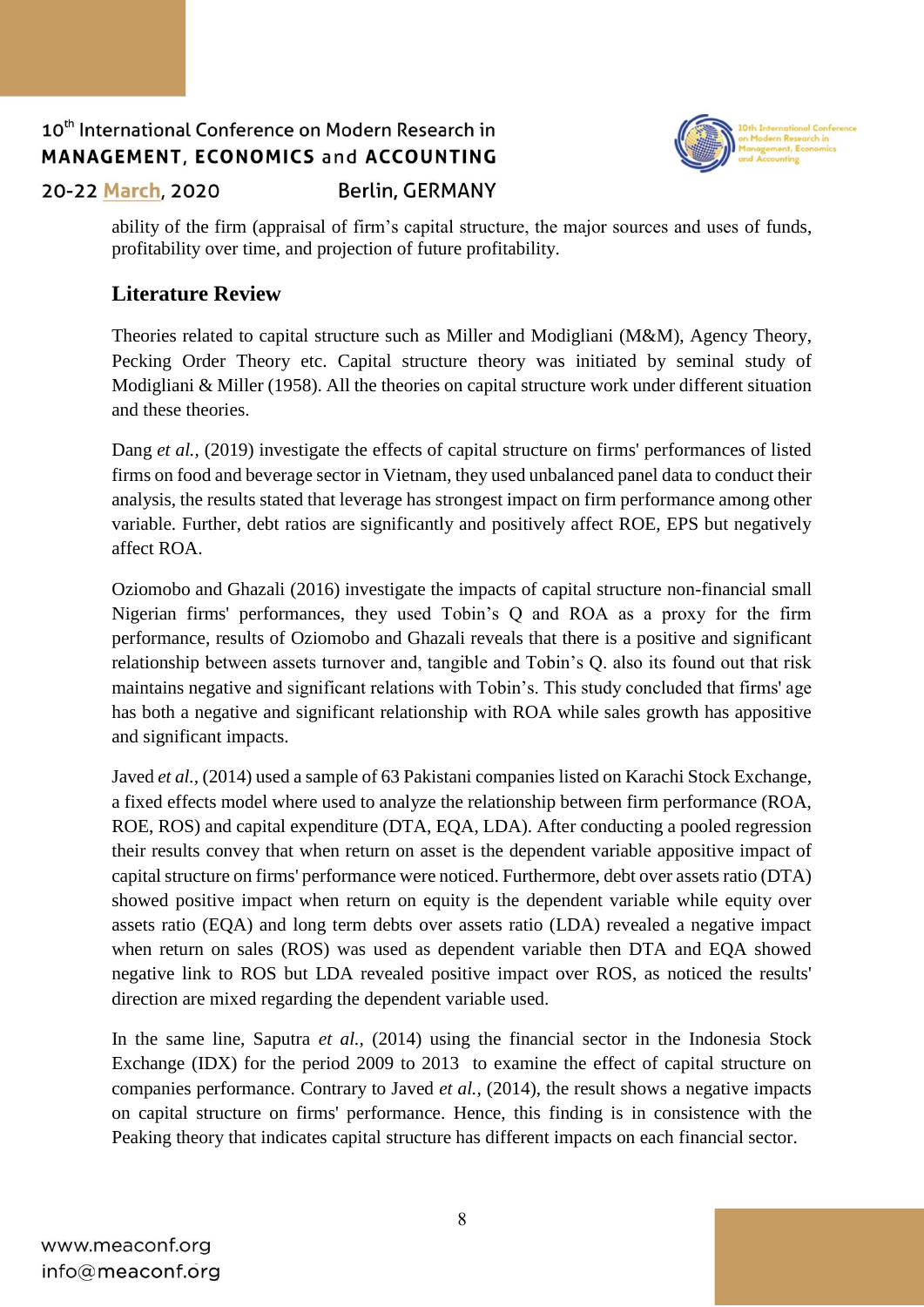

20-22 March, 2020

**Berlin, GERMANY** 

ability of the firm (appraisal of firm's capital structure, the major sources and uses of funds, profitability over time, and projection of future profitability.

### **Literature Review**

Theories related to capital structure such as Miller and Modigliani (M&M), Agency Theory, Pecking Order Theory etc. Capital structure theory was initiated by seminal study of Modigliani & Miller (1958). All the theories on capital structure work under different situation and these theories.

Dang *et al.,* (2019) investigate the effects of capital structure on firms' performances of listed firms on food and beverage sector in Vietnam, they used unbalanced panel data to conduct their analysis, the results stated that leverage has strongest impact on firm performance among other variable. Further, debt ratios are significantly and positively affect ROE, EPS but negatively affect ROA.

Oziomobo and Ghazali (2016) investigate the impacts of capital structure non-financial small Nigerian firms' performances, they used Tobin's Q and ROA as a proxy for the firm performance, results of Oziomobo and Ghazali reveals that there is a positive and significant relationship between assets turnover and, tangible and Tobin's Q. also its found out that risk maintains negative and significant relations with Tobin's. This study concluded that firms' age has both a negative and significant relationship with ROA while sales growth has appositive and significant impacts.

Javed *et al.,* (2014) used a sample of 63 Pakistani companies listed on Karachi Stock Exchange, a fixed effects model where used to analyze the relationship between firm performance (ROA, ROE, ROS) and capital expenditure (DTA, EQA, LDA). After conducting a pooled regression their results convey that when return on asset is the dependent variable appositive impact of capital structure on firms' performance were noticed. Furthermore, debt over assets ratio (DTA) showed positive impact when return on equity is the dependent variable while equity over assets ratio (EQA) and long term debts over assets ratio (LDA) revealed a negative impact when return on sales (ROS) was used as dependent variable then DTA and EQA showed negative link to ROS but LDA revealed positive impact over ROS, as noticed the results' direction are mixed regarding the dependent variable used.

In the same line, Saputra *et al.,* (2014) using the financial sector in the Indonesia Stock Exchange (IDX) for the period 2009 to 2013 to examine the effect of capital structure on companies performance. Contrary to Javed *et al.,* (2014), the result shows a negative impacts on capital structure on firms' performance. Hence, this finding is in consistence with the Peaking theory that indicates capital structure has different impacts on each financial sector.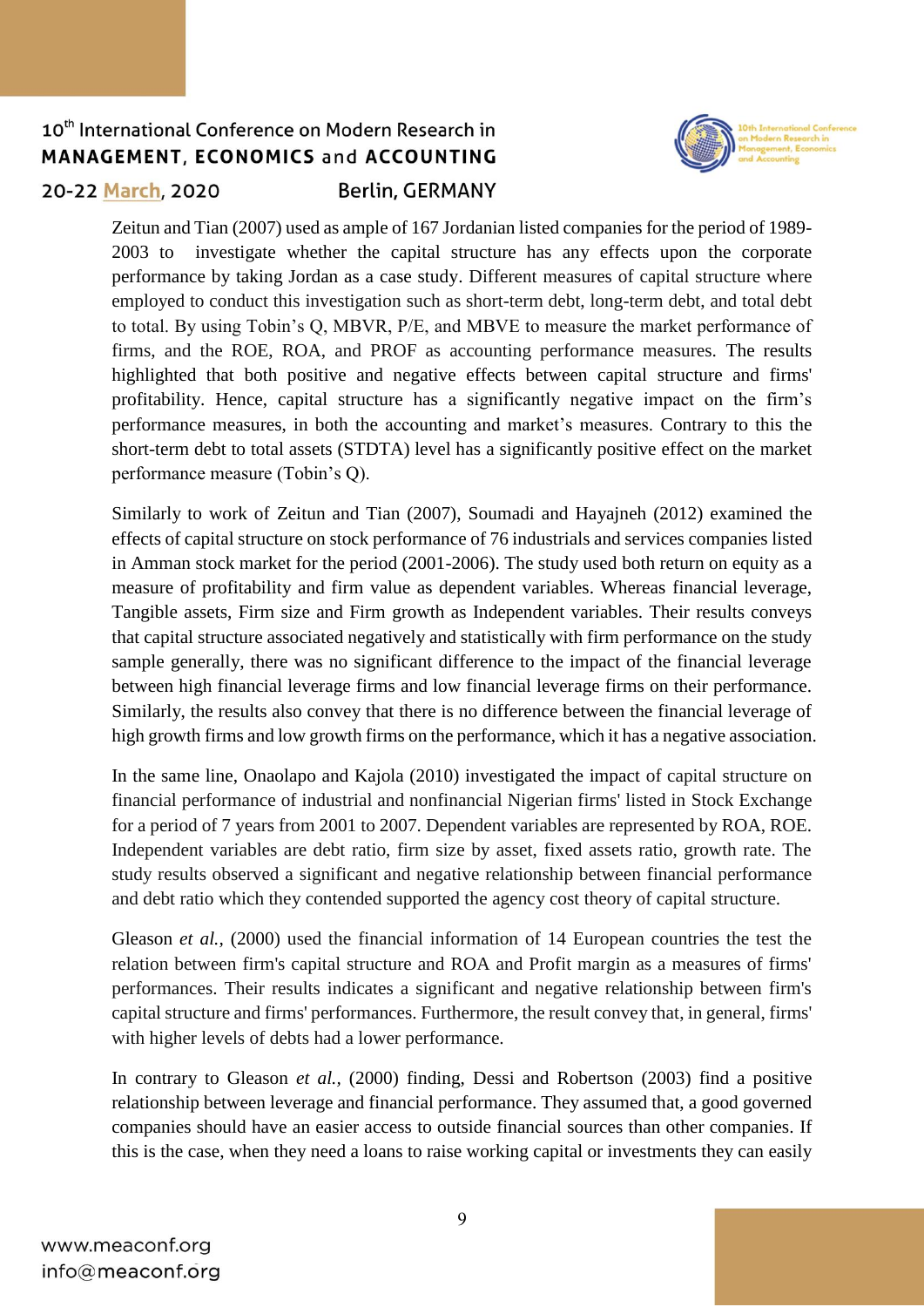

#### 20-22 March, 2020

**Berlin, GERMANY** 

Zeitun and Tian (2007) used as ample of 167 Jordanian listed companies for the period of 1989- 2003 to investigate whether the capital structure has any effects upon the corporate performance by taking Jordan as a case study. Different measures of capital structure where employed to conduct this investigation such as short-term debt, long-term debt, and total debt to total. By using Tobin's Q, MBVR, P/E, and MBVE to measure the market performance of firms, and the ROE, ROA, and PROF as accounting performance measures. The results highlighted that both positive and negative effects between capital structure and firms' profitability. Hence, capital structure has a significantly negative impact on the firm's performance measures, in both the accounting and market's measures. Contrary to this the short-term debt to total assets (STDTA) level has a significantly positive effect on the market performance measure (Tobin's Q).

Similarly to work of Zeitun and Tian (2007), Soumadi and Hayajneh (2012) examined the effects of capital structure on stock performance of 76 industrials and services companies listed in Amman stock market for the period (2001-2006). The study used both return on equity as a measure of profitability and firm value as dependent variables. Whereas financial leverage, Tangible assets, Firm size and Firm growth as Independent variables. Their results conveys that capital structure associated negatively and statistically with firm performance on the study sample generally, there was no significant difference to the impact of the financial leverage between high financial leverage firms and low financial leverage firms on their performance. Similarly, the results also convey that there is no difference between the financial leverage of high growth firms and low growth firms on the performance, which it has a negative association.

In the same line, Onaolapo and Kajola (2010) investigated the impact of capital structure on financial performance of industrial and nonfinancial Nigerian firms' listed in Stock Exchange for a period of 7 years from 2001 to 2007. Dependent variables are represented by ROA, ROE. Independent variables are debt ratio, firm size by asset, fixed assets ratio, growth rate. The study results observed a significant and negative relationship between financial performance and debt ratio which they contended supported the agency cost theory of capital structure.

Gleason *et al.,* (2000) used the financial information of 14 European countries the test the relation between firm's capital structure and ROA and Profit margin as a measures of firms' performances. Their results indicates a significant and negative relationship between firm's capital structure and firms' performances. Furthermore, the result convey that, in general, firms' with higher levels of debts had a lower performance.

In contrary to Gleason *et al.,* (2000) finding, Dessi and Robertson (2003) find a positive relationship between leverage and financial performance. They assumed that, a good governed companies should have an easier access to outside financial sources than other companies. If this is the case, when they need a loans to raise working capital or investments they can easily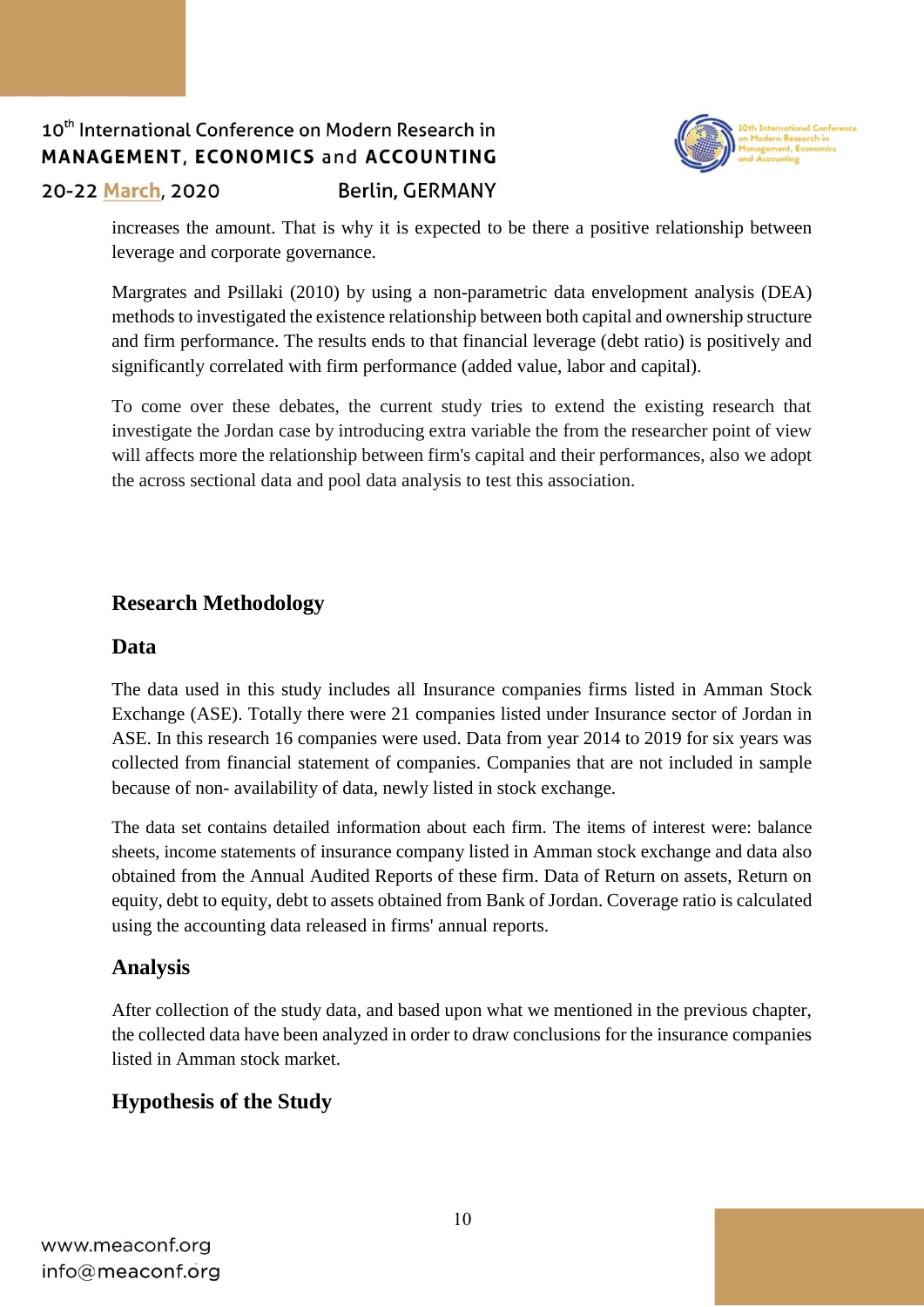

#### 20-22 March, 2020

**Berlin, GERMANY** 

increases the amount. That is why it is expected to be there a positive relationship between leverage and corporate governance.

Margrates and Psillaki (2010) by using a non-parametric data envelopment analysis (DEA) methods to investigated the existence relationship between both capital and ownership structure and firm performance. The results ends to that financial leverage (debt ratio) is positively and significantly correlated with firm performance (added value, labor and capital).

To come over these debates, the current study tries to extend the existing research that investigate the Jordan case by introducing extra variable the from the researcher point of view will affects more the relationship between firm's capital and their performances, also we adopt the across sectional data and pool data analysis to test this association.

## **Research Methodology**

#### **Data**

The data used in this study includes all Insurance companies firms listed in Amman Stock Exchange (ASE). Totally there were 21 companies listed under Insurance sector of Jordan in ASE. In this research 16 companies were used. Data from year 2014 to 2019 for six years was collected from financial statement of companies. Companies that are not included in sample because of non- availability of data, newly listed in stock exchange.

The data set contains detailed information about each firm. The items of interest were: balance sheets, income statements of insurance company listed in Amman stock exchange and data also obtained from the Annual Audited Reports of these firm. Data of Return on assets, Return on equity, debt to equity, debt to assets obtained from Bank of Jordan. Coverage ratio is calculated using the accounting data released in firms' annual reports.

### **Analysis**

After collection of the study data, and based upon what we mentioned in the previous chapter, the collected data have been analyzed in order to draw conclusions for the insurance companies listed in Amman stock market.

### **Hypothesis of the Study**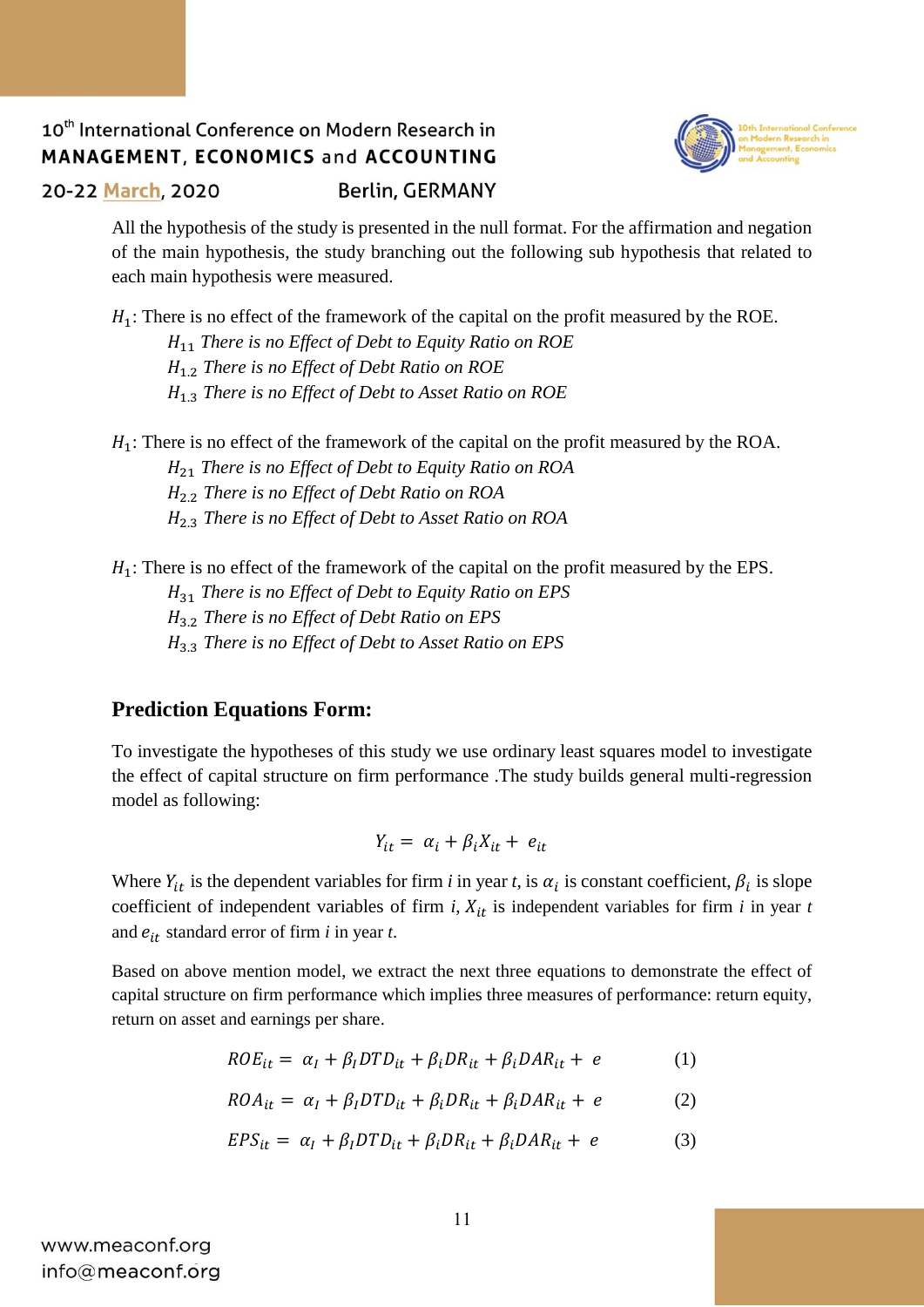

20-22 March, 2020

**Berlin, GERMANY** 

All the hypothesis of the study is presented in the null format. For the affirmation and negation of the main hypothesis, the study branching out the following sub hypothesis that related to each main hypothesis were measured.

 $H_1$ : There is no effect of the framework of the capital on the profit measured by the ROE.

<sup>11</sup> *There is no Effect of Debt to Equity Ratio on ROE*

1.2 *There is no Effect of Debt Ratio on ROE* 

1.3 *There is no Effect of Debt to Asset Ratio on ROE*

 $H_1$ : There is no effect of the framework of the capital on the profit measured by the ROA.

<sup>21</sup> *There is no Effect of Debt to Equity Ratio on ROA* 2.2 *There is no Effect of Debt Ratio on ROA* 2.3 *There is no Effect of Debt to Asset Ratio on ROA*

 $H_1$ : There is no effect of the framework of the capital on the profit measured by the EPS. <sup>31</sup> *There is no Effect of Debt to Equity Ratio on EPS* 3.2 *There is no Effect of Debt Ratio on EPS* 3.3 *There is no Effect of Debt to Asset Ratio on EPS*

# **Prediction Equations Form:**

To investigate the hypotheses of this study we use ordinary least squares model to investigate the effect of capital structure on firm performance .The study builds general multi-regression model as following:

$$
Y_{it} = \alpha_i + \beta_i X_{it} + e_{it}
$$

Where  $Y_{it}$  is the dependent variables for firm *i* in year *t*, is  $\alpha_i$  is constant coefficient,  $\beta_i$  is slope coefficient of independent variables of firm  $i$ ,  $X_{it}$  is independent variables for firm  $i$  in year  $t$ and  $e_{it}$  standard error of firm  $i$  in year  $t$ .

Based on above mention model, we extract the next three equations to demonstrate the effect of capital structure on firm performance which implies three measures of performance: return equity, return on asset and earnings per share.

$$
ROE_{it} = \alpha_I + \beta_I DTD_{it} + \beta_i DR_{it} + \beta_i DAR_{it} + e \tag{1}
$$

$$
ROA_{it} = \alpha_I + \beta_I DTD_{it} + \beta_i DR_{it} + \beta_i DAR_{it} + e \tag{2}
$$

$$
EPS_{it} = \alpha_l + \beta_l DTD_{it} + \beta_i DR_{it} + \beta_i DAR_{it} + e \tag{3}
$$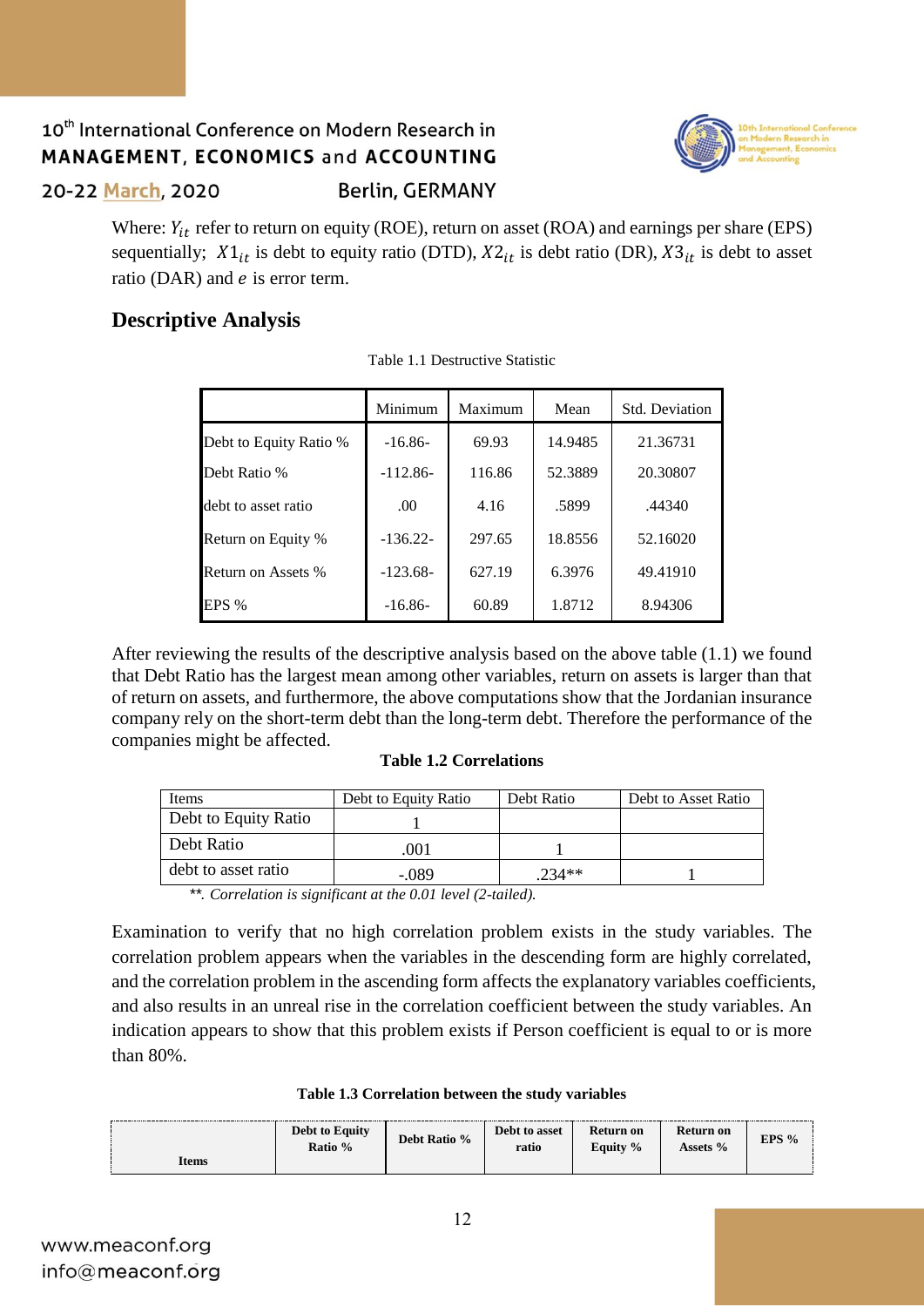

#### 20-22 March, 2020

**Berlin, GERMANY** 

Where:  $Y_{it}$  refer to return on equity (ROE), return on asset (ROA) and earnings per share (EPS) sequentially;  $X1_{it}$  is debt to equity ratio (DTD),  $X2_{it}$  is debt ratio (DR),  $X3_{it}$  is debt to asset ratio (DAR) and  $e$  is error term.

### **Descriptive Analysis**

|                           | Minimum    | Maximum | Mean    | <b>Std. Deviation</b> |
|---------------------------|------------|---------|---------|-----------------------|
| Debt to Equity Ratio %    | $-16.86-$  | 69.93   | 14.9485 | 21.36731              |
| Debt Ratio %              | $-112.86-$ | 116.86  | 52.3889 | 20.30807              |
| debt to asset ratio       | .00.       | 4.16    | .5899   | .44340                |
| Return on Equity %        | $-136.22-$ | 297.65  | 18.8556 | 52.16020              |
| <b>Return on Assets %</b> | $-123.68-$ | 627.19  | 6.3976  | 49.41910              |
| EPS %                     | $-16.86-$  | 60.89   | 1.8712  | 8.94306               |

Table 1.1 Destructive Statistic

After reviewing the results of the descriptive analysis based on the above table (1.1) we found that Debt Ratio has the largest mean among other variables, return on assets is larger than that of return on assets, and furthermore, the above computations show that the Jordanian insurance company rely on the short-term debt than the long-term debt. Therefore the performance of the companies might be affected.

#### **Table 1.2 Correlations**

| Items                | Debt to Equity Ratio | Debt Ratio | Debt to Asset Ratio |
|----------------------|----------------------|------------|---------------------|
| Debt to Equity Ratio |                      |            |                     |
| Debt Ratio           | .001                 |            |                     |
| debt to asset ratio  | - 089                | $.234**$   |                     |

 *\*\*. Correlation is significant at the 0.01 level (2-tailed).*

Examination to verify that no high correlation problem exists in the study variables. The correlation problem appears when the variables in the descending form are highly correlated, and the correlation problem in the ascending form affects the explanatory variables coefficients, and also results in an unreal rise in the correlation coefficient between the study variables. An indication appears to show that this problem exists if Person coefficient is equal to or is more than 80%.

**Table 1.3 Correlation between the study variables**

|       | <b>Debt to Equity</b><br>Ratio % | <b>Debt Ratio %</b> | Debt to asset<br>ratio | Return on<br>Equity $\%$ | <b>Return on</b><br>Assets % | <br>EPS $%$ |
|-------|----------------------------------|---------------------|------------------------|--------------------------|------------------------------|-------------|
| Ítems |                                  |                     |                        |                          |                              |             |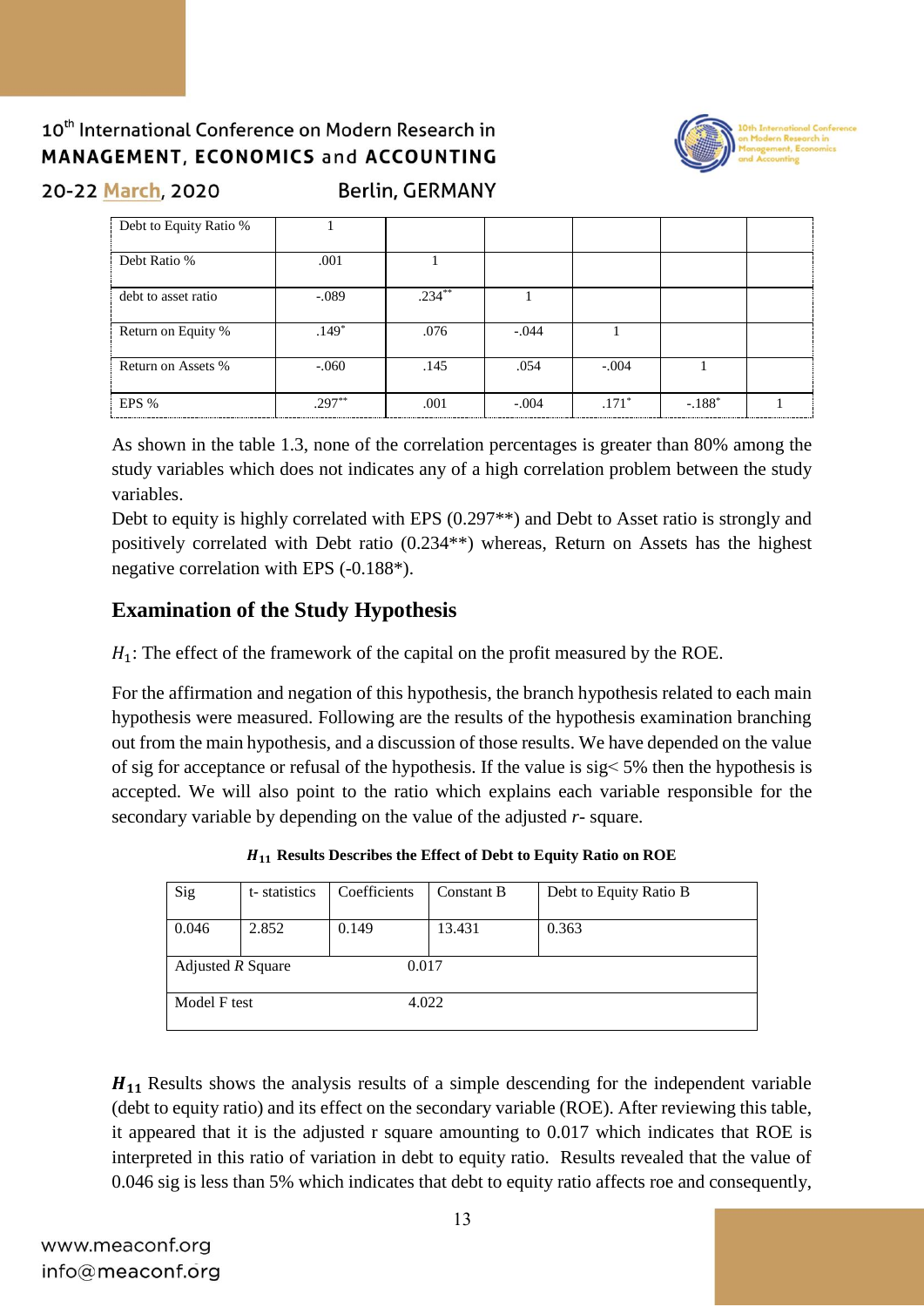

20-22 March, 2020

**Berlin, GERMANY** 

| Debt to Equity Ratio % |          |           |         |         |          |  |
|------------------------|----------|-----------|---------|---------|----------|--|
| Debt Ratio %           | .001     |           |         |         |          |  |
| debt to asset ratio    | $-.089$  | $.234***$ |         |         |          |  |
| Return on Equity %     | $.149*$  | .076      | $-.044$ |         |          |  |
|                        |          |           |         |         |          |  |
| Return on Assets %     | $-.060$  | .145      | .054    | $-.004$ |          |  |
| EPS %                  | $.297**$ | .001      | $-.004$ | $.171*$ | $-.188*$ |  |

As shown in the table 1.3, none of the correlation percentages is greater than 80% among the study variables which does not indicates any of a high correlation problem between the study variables.

Debt to equity is highly correlated with EPS (0.297<sup>\*\*</sup>) and Debt to Asset ratio is strongly and positively correlated with Debt ratio (0.234\*\*) whereas, Return on Assets has the highest negative correlation with EPS (-0.188\*).

# **Examination of the Study Hypothesis**

 $H_1$ : The effect of the framework of the capital on the profit measured by the ROE.

For the affirmation and negation of this hypothesis, the branch hypothesis related to each main hypothesis were measured. Following are the results of the hypothesis examination branching out from the main hypothesis, and a discussion of those results. We have depended on the value of sig for acceptance or refusal of the hypothesis. If the value is  $sig < 5\%$  then the hypothesis is accepted. We will also point to the ratio which explains each variable responsible for the secondary variable by depending on the value of the adjusted *r*- square.

| Sig                 | t-statistics | Coefficients | <b>Constant B</b> | Debt to Equity Ratio B |
|---------------------|--------------|--------------|-------------------|------------------------|
|                     |              |              |                   |                        |
|                     |              |              |                   |                        |
| 0.046               | 2.852        | 0.149        | 13.431            | 0.363                  |
|                     |              |              |                   |                        |
|                     |              |              |                   |                        |
| Adjusted $R$ Square |              | 0.017        |                   |                        |
|                     |              |              |                   |                        |
|                     |              |              |                   |                        |
| Model F test        |              | 4.022        |                   |                        |
|                     |              |              |                   |                        |
|                     |              |              |                   |                        |

**Results Describes the Effect of Debt to Equity Ratio on ROE**

 $H_{11}$  Results shows the analysis results of a simple descending for the independent variable (debt to equity ratio) and its effect on the secondary variable (ROE). After reviewing this table, it appeared that it is the adjusted r square amounting to 0.017 which indicates that ROE is interpreted in this ratio of variation in debt to equity ratio. Results revealed that the value of 0.046 sig is less than 5% which indicates that debt to equity ratio affects roe and consequently,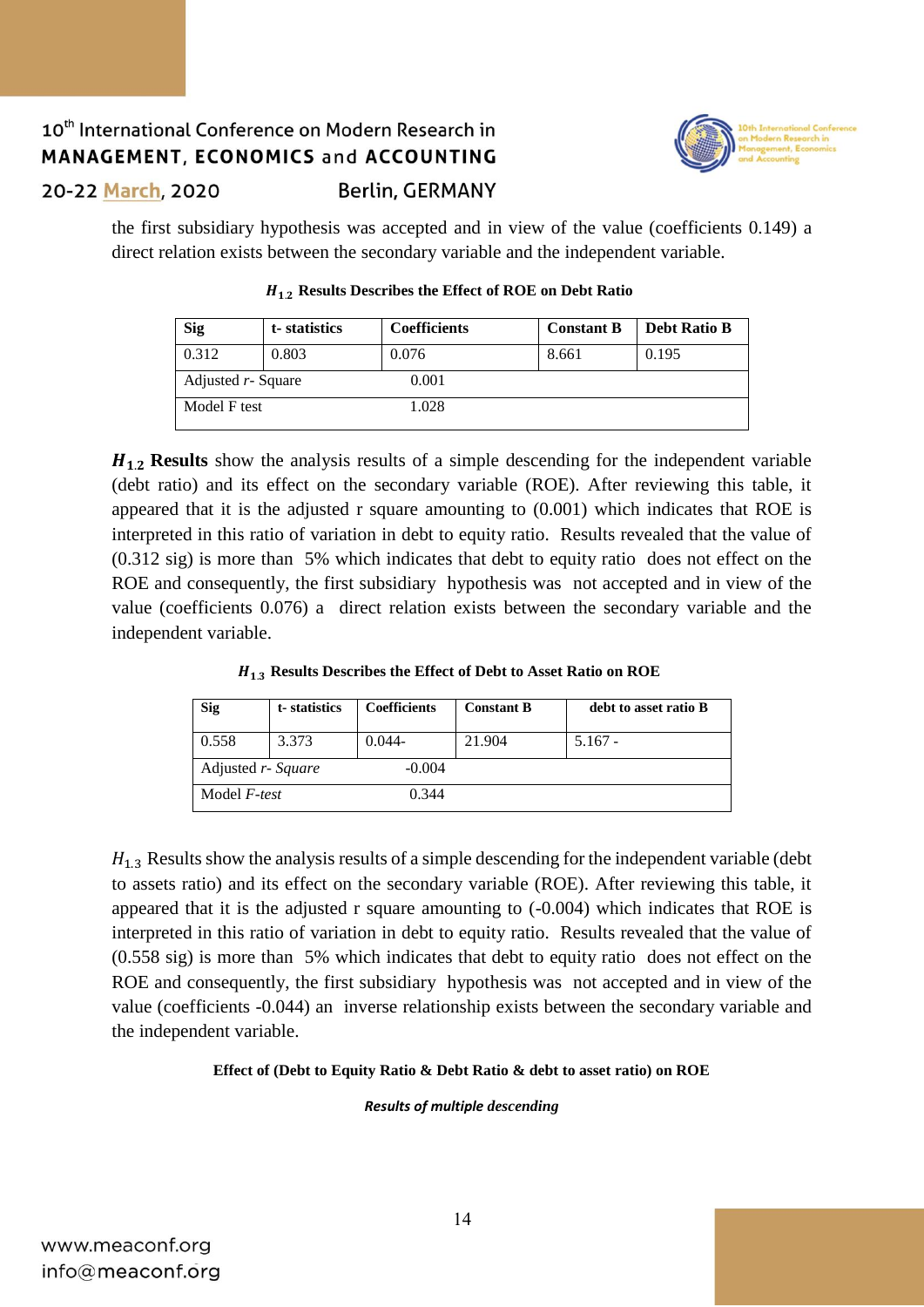

20-22 March, 2020

**Berlin, GERMANY** 

the first subsidiary hypothesis was accepted and in view of the value (coefficients 0.149) a direct relation exists between the secondary variable and the independent variable.

| <b>Sig</b>         | t-statistics | <b>Coefficients</b> | <b>Constant B</b> | <b>Debt Ratio B</b> |
|--------------------|--------------|---------------------|-------------------|---------------------|
| 0.312              | 0.803        | 0.076               | 8.661             | 0.195               |
| Adjusted r- Square |              | 0.001               |                   |                     |
| Model F test       |              | 1.028               |                   |                     |

#### . **Results Describes the Effect of ROE on Debt Ratio**

 $H_{1,2}$  **Results** show the analysis results of a simple descending for the independent variable (debt ratio) and its effect on the secondary variable (ROE). After reviewing this table, it appeared that it is the adjusted r square amounting to (0.001) which indicates that ROE is interpreted in this ratio of variation in debt to equity ratio. Results revealed that the value of (0.312 sig) is more than 5% which indicates that debt to equity ratio does not effect on the ROE and consequently, the first subsidiary hypothesis was not accepted and in view of the value (coefficients 0.076) a direct relation exists between the secondary variable and the independent variable.

. **Results Describes the Effect of Debt to Asset Ratio on ROE**

| <b>Sig</b>          | t-statistics | Coefficients | <b>Constant B</b> | debt to asset ratio B |
|---------------------|--------------|--------------|-------------------|-----------------------|
| 0.558               | 3.373        | $0.044 -$    | 21.904            | $5.167 -$             |
| Adjusted r- Square  |              | $-0.004$     |                   |                       |
| Model <i>F-test</i> |              | 0.344        |                   |                       |

 $H_{1,3}$  Results show the analysis results of a simple descending for the independent variable (debt to assets ratio) and its effect on the secondary variable (ROE). After reviewing this table, it appeared that it is the adjusted r square amounting to (-0.004) which indicates that ROE is interpreted in this ratio of variation in debt to equity ratio. Results revealed that the value of (0.558 sig) is more than 5% which indicates that debt to equity ratio does not effect on the ROE and consequently, the first subsidiary hypothesis was not accepted and in view of the value (coefficients -0.044) an inverse relationship exists between the secondary variable and the independent variable.

#### **Effect of (Debt to Equity Ratio & Debt Ratio & debt to asset ratio) on ROE**

*Results of multiple descending*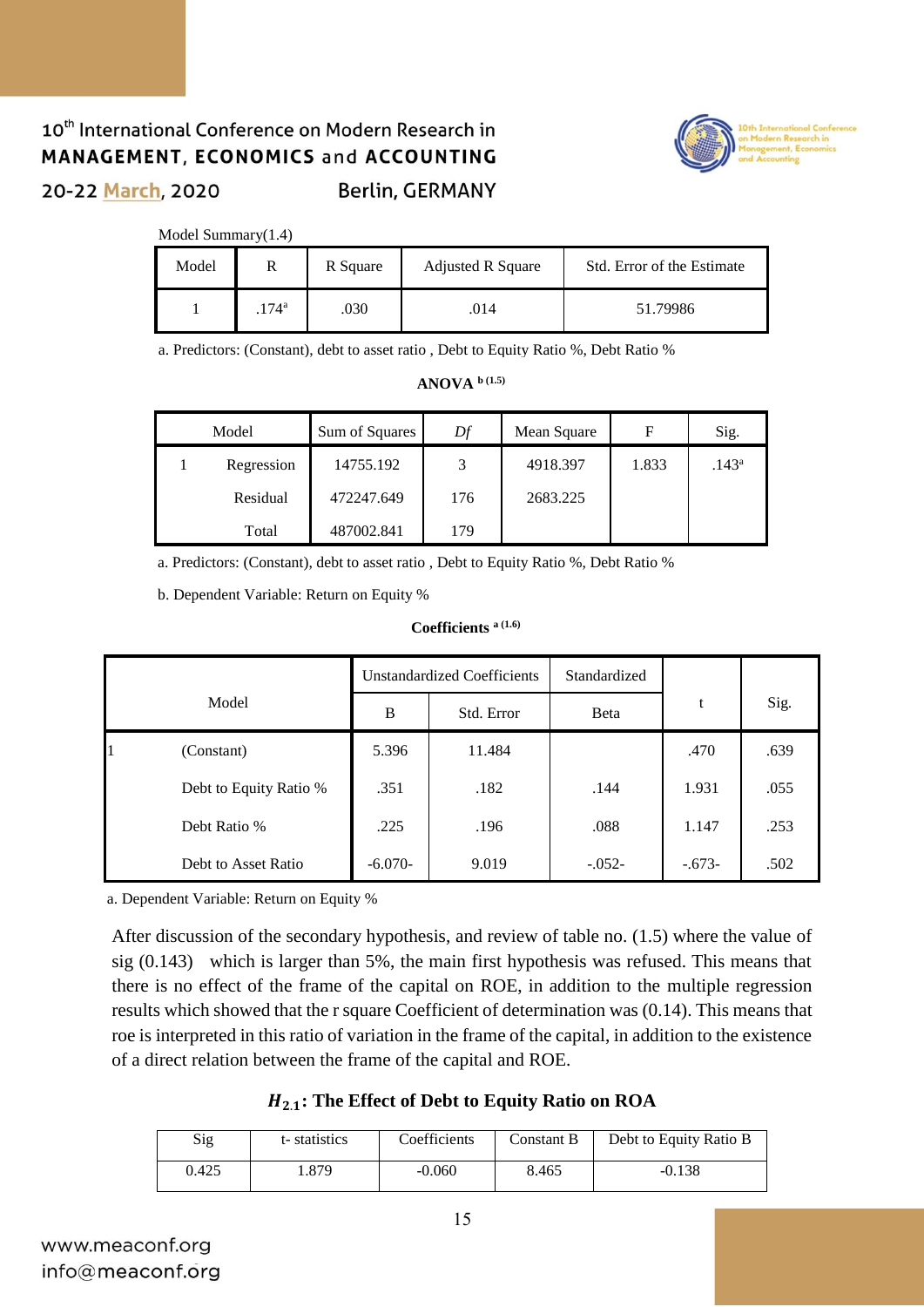

20-22 March, 2020

**Berlin, GERMANY** 

| Model Summary $(1.4)$ |                |          |                          |                            |
|-----------------------|----------------|----------|--------------------------|----------------------------|
| Model                 | R              | R Square | <b>Adjusted R Square</b> | Std. Error of the Estimate |
|                       | $.174^{\rm a}$ | .030     | .014                     | 51.79986                   |

a. Predictors: (Constant), debt to asset ratio , Debt to Equity Ratio %, Debt Ratio %

| ANOVA $b(1.5)$ |  |
|----------------|--|
|----------------|--|

| Model      | Sum of Squares | Df  | Mean Square | F     | Sig.              |
|------------|----------------|-----|-------------|-------|-------------------|
| Regression | 14755.192      | 3   | 4918.397    | 1.833 | .143 <sup>a</sup> |
| Residual   | 472247.649     | 176 | 2683.225    |       |                   |
| Total      | 487002.841     | 179 |             |       |                   |

a. Predictors: (Constant), debt to asset ratio , Debt to Equity Ratio %, Debt Ratio %

b. Dependent Variable: Return on Equity %

#### **Coefficients a (1.6)**

|                 |                        | <b>Unstandardized Coefficients</b> |            | Standardized |          |      |
|-----------------|------------------------|------------------------------------|------------|--------------|----------|------|
| Model           |                        | B                                  | Std. Error | Beta         | t        | Sig. |
| 1<br>(Constant) |                        | 5.396                              | 11.484     |              | .470     | .639 |
|                 | Debt to Equity Ratio % | .351                               | .182       | .144         | 1.931    | .055 |
| Debt Ratio %    |                        | .225                               | .196       | .088         | 1.147    | .253 |
|                 | Debt to Asset Ratio    | $-6.070-$                          | 9.019      | $-.052-$     | $-.673-$ | .502 |

a. Dependent Variable: Return on Equity %

After discussion of the secondary hypothesis, and review of table no. (1.5) where the value of sig (0.143) which is larger than 5%, the main first hypothesis was refused. This means that there is no effect of the frame of the capital on ROE, in addition to the multiple regression results which showed that the r square Coefficient of determination was (0.14). This means that roe is interpreted in this ratio of variation in the frame of the capital, in addition to the existence of a direct relation between the frame of the capital and ROE.

#### .**: The Effect of Debt to Equity Ratio on ROA**

| Sig   | t-statistics | Coefficients | Constant B | Debt to Equity Ratio B |
|-------|--------------|--------------|------------|------------------------|
| 0.425 | . 879        | $-0.060$     | 8.465      | $-0.138$               |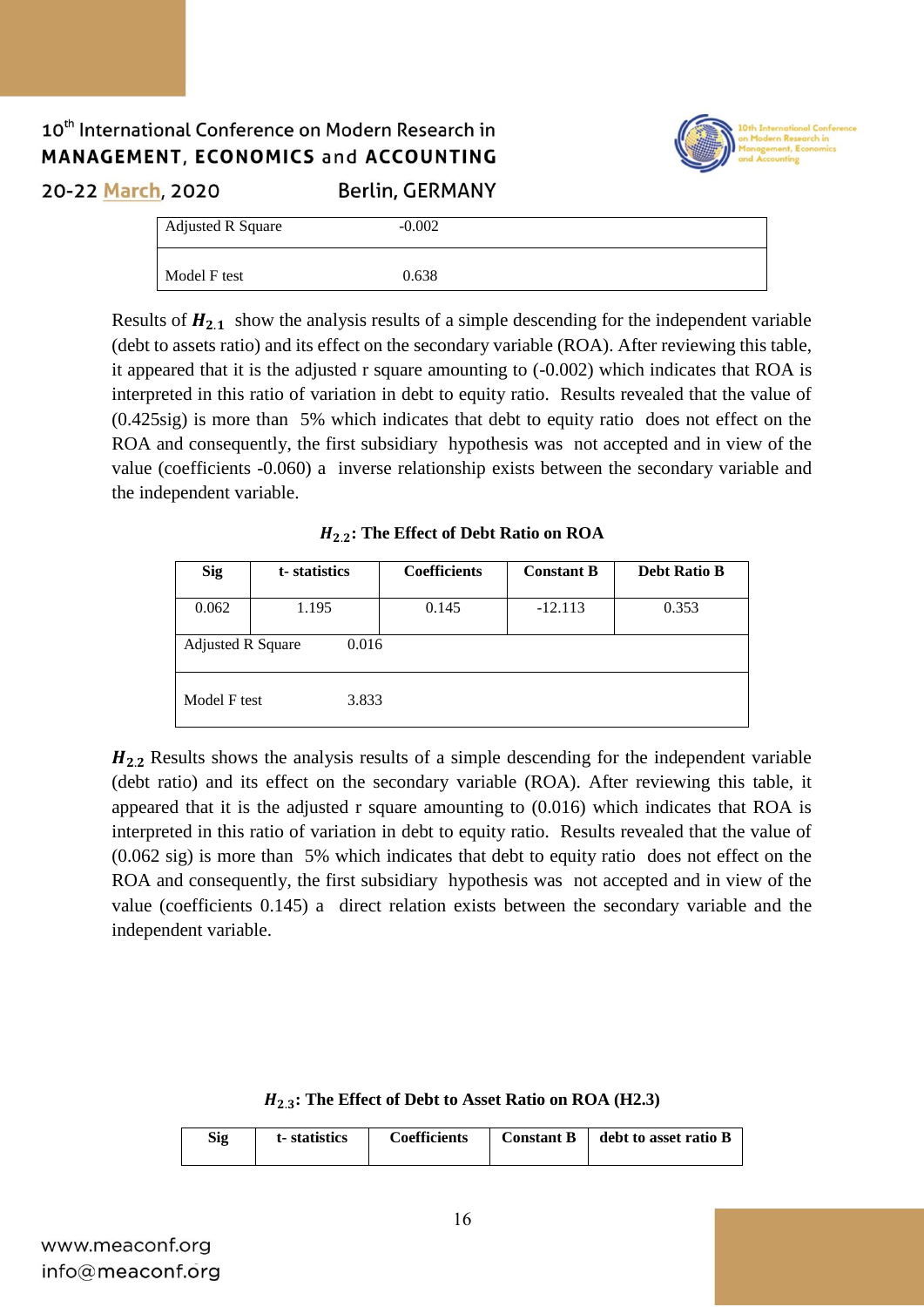20-22 March, 2020

**Berlin, GERMANY** 



| <b>Adjusted R Square</b> | $-0.002$ |
|--------------------------|----------|
| Model F test             | 0.638    |

Results of  $H_{2,1}$  show the analysis results of a simple descending for the independent variable (debt to assets ratio) and its effect on the secondary variable (ROA). After reviewing this table, it appeared that it is the adjusted r square amounting to (-0.002) which indicates that ROA is interpreted in this ratio of variation in debt to equity ratio. Results revealed that the value of (0.425sig) is more than 5% which indicates that debt to equity ratio does not effect on the ROA and consequently, the first subsidiary hypothesis was not accepted and in view of the value (coefficients -0.060) a inverse relationship exists between the secondary variable and the independent variable.

.**: The Effect of Debt Ratio on ROA** 

| <b>Sig</b>                        | t-statistics | <b>Coefficients</b> | <b>Constant B</b> | <b>Debt Ratio B</b> |  |  |
|-----------------------------------|--------------|---------------------|-------------------|---------------------|--|--|
| 0.062                             | 1.195        | 0.145               | $-12.113$         | 0.353               |  |  |
| <b>Adjusted R Square</b><br>0.016 |              |                     |                   |                     |  |  |
| 3.833<br>Model F test             |              |                     |                   |                     |  |  |

 $H_{2,2}$  Results shows the analysis results of a simple descending for the independent variable (debt ratio) and its effect on the secondary variable (ROA). After reviewing this table, it appeared that it is the adjusted r square amounting to (0.016) which indicates that ROA is interpreted in this ratio of variation in debt to equity ratio. Results revealed that the value of (0.062 sig) is more than 5% which indicates that debt to equity ratio does not effect on the ROA and consequently, the first subsidiary hypothesis was not accepted and in view of the value (coefficients 0.145) a direct relation exists between the secondary variable and the independent variable.

#### .**: The Effect of Debt to Asset Ratio on ROA (H2.3)**

| <b>Sig</b> | t-statistics | <b>Coefficients</b> | <b>Constant B</b> | debt to asset ratio B |
|------------|--------------|---------------------|-------------------|-----------------------|
|            |              |                     |                   |                       |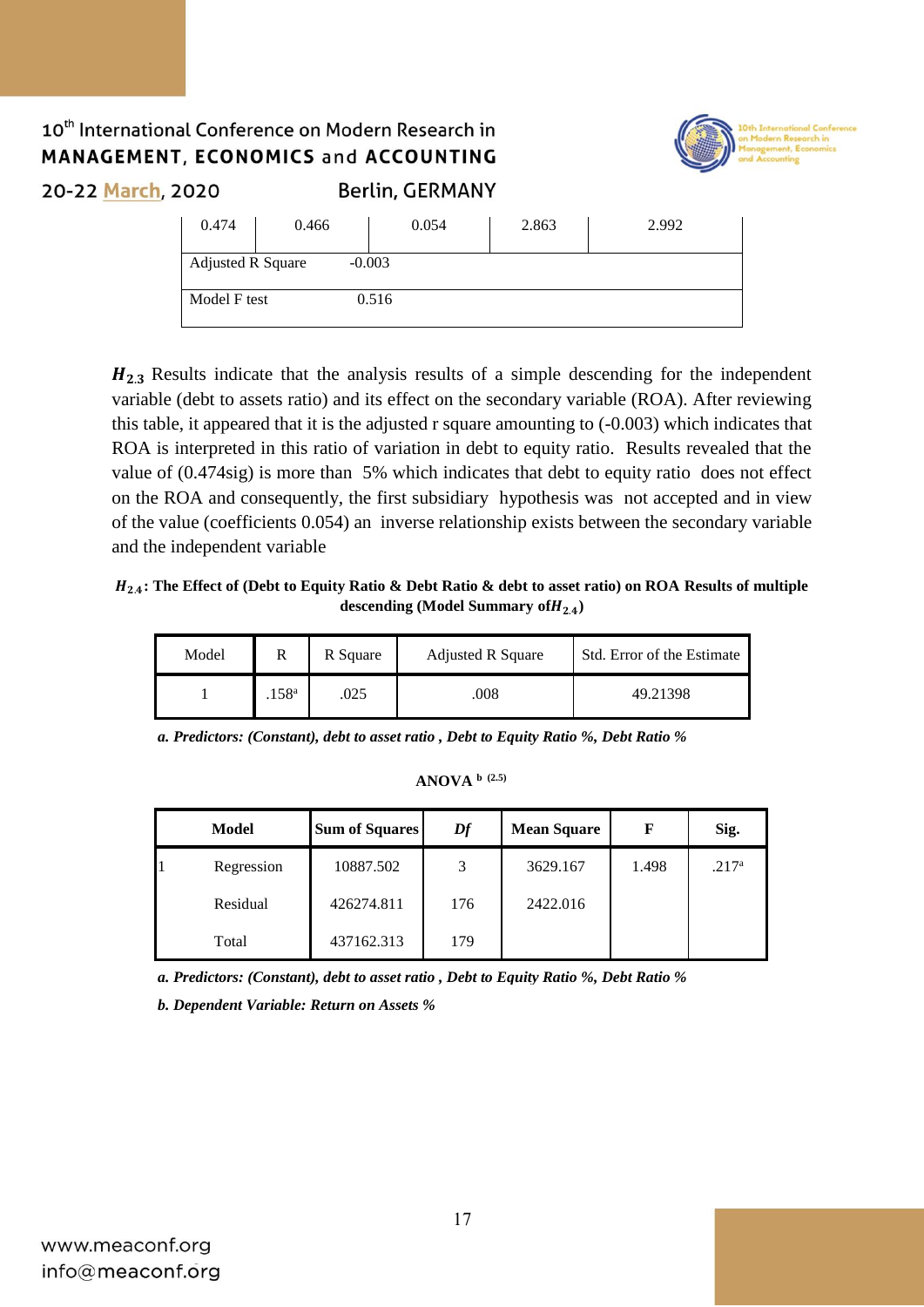| 10 <sup>th</sup> International Conference on Modern Research in<br>MANAGEMENT, ECONOMICS and ACCOUNTING |                          |       |                        |       |       |  |
|---------------------------------------------------------------------------------------------------------|--------------------------|-------|------------------------|-------|-------|--|
| 20-22 March, 2020                                                                                       |                          |       | <b>Berlin, GERMANY</b> |       |       |  |
|                                                                                                         | 0.474                    | 0.466 | 0.054                  | 2.863 | 2.992 |  |
|                                                                                                         | <b>Adjusted R Square</b> |       | $-0.003$               |       |       |  |
|                                                                                                         | Model F test             |       | 0.516                  |       |       |  |

 $H<sub>2,3</sub>$  Results indicate that the analysis results of a simple descending for the independent variable (debt to assets ratio) and its effect on the secondary variable (ROA). After reviewing this table, it appeared that it is the adjusted r square amounting to (-0.003) which indicates that ROA is interpreted in this ratio of variation in debt to equity ratio. Results revealed that the value of (0.474sig) is more than 5% which indicates that debt to equity ratio does not effect on the ROA and consequently, the first subsidiary hypothesis was not accepted and in view of the value (coefficients 0.054) an inverse relationship exists between the secondary variable and the independent variable

#### .**: The Effect of (Debt to Equity Ratio & Debt Ratio & debt to asset ratio) on ROA Results of multiple**  descending (Model Summary of $H_{2,4}$ )

| Model | R                 | R Square | <b>Adjusted R Square</b> | Std. Error of the Estimate |
|-------|-------------------|----------|--------------------------|----------------------------|
|       | .158 <sup>a</sup> |          | 008                      | 49.21398                   |

*a. Predictors: (Constant), debt to asset ratio , Debt to Equity Ratio %, Debt Ratio %*

#### **ANOVA b (2.5)**

| Model      | <b>Sum of Squares</b> | Df  | <b>Mean Square</b> | F     | Sig.              |
|------------|-----------------------|-----|--------------------|-------|-------------------|
| Regression | 10887.502             | 3   | 3629.167           | 1.498 | .217 <sup>a</sup> |
| Residual   | 426274.811            | 176 | 2422.016           |       |                   |
| Total      | 437162.313            | 179 |                    |       |                   |

*a. Predictors: (Constant), debt to asset ratio , Debt to Equity Ratio %, Debt Ratio %*

*b. Dependent Variable: Return on Assets %*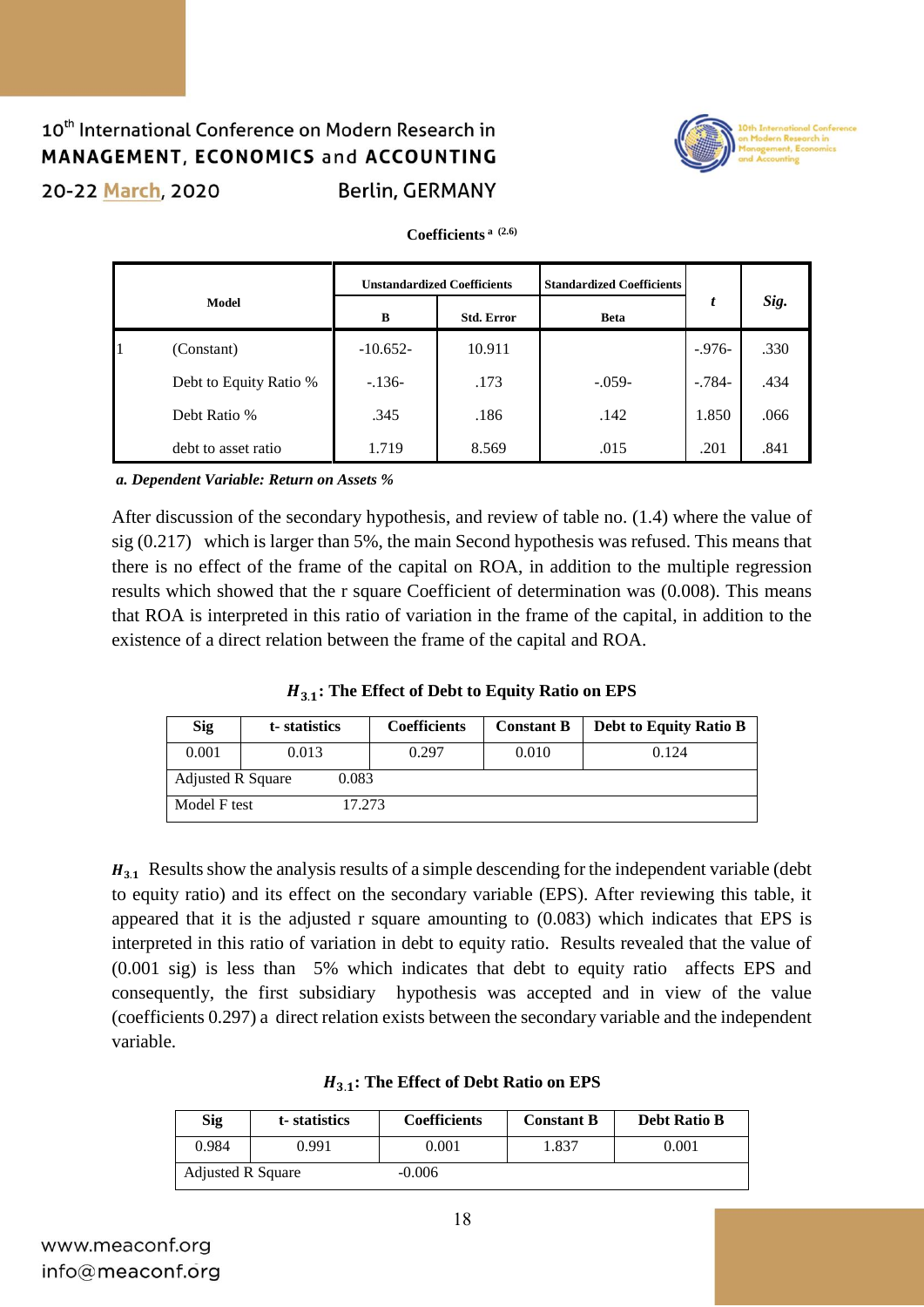#### 10<sup>th</sup> International Conference on Modern Research in **MANAGEMENT, ECONOMICS and ACCOUNTING** 20-22 March, 2020 **Berlin, GERMANY**



**Coefficients a (2.6)**

| Model |                        | <b>Unstandardized Coefficients</b> |                   | <b>Standardized Coefficients</b> |           |      |
|-------|------------------------|------------------------------------|-------------------|----------------------------------|-----------|------|
|       |                        | B                                  | <b>Std. Error</b> | <b>Beta</b>                      | t         | Sig. |
|       | (Constant)             | $-10.652-$                         | 10.911            |                                  | $-0.976-$ | .330 |
|       | Debt to Equity Ratio % | $-136-$                            | .173              | $-.059-$                         | $-784-$   | .434 |
|       | Debt Ratio %           | .345                               | .186              | .142                             | 1.850     | .066 |
|       | debt to asset ratio    | 1.719                              | 8.569             | .015                             | .201      | .841 |

*a. Dependent Variable: Return on Assets %*

After discussion of the secondary hypothesis, and review of table no. (1.4) where the value of sig (0.217) which is larger than 5%, the main Second hypothesis was refused. This means that there is no effect of the frame of the capital on ROA, in addition to the multiple regression results which showed that the r square Coefficient of determination was (0.008). This means that ROA is interpreted in this ratio of variation in the frame of the capital, in addition to the existence of a direct relation between the frame of the capital and ROA.

.**: The Effect of Debt to Equity Ratio on EPS**

| <b>Sig</b>                        | t-statistics | <b>Coefficients</b> | <b>Constant B</b> | <b>Debt to Equity Ratio B</b> |
|-----------------------------------|--------------|---------------------|-------------------|-------------------------------|
| 0.001                             | 0.013        | 0.297               | 0.010             | 0.124                         |
| <b>Adjusted R Square</b><br>0.083 |              |                     |                   |                               |
| Model F test                      | 17.273       |                     |                   |                               |

 $H_{3,1}$  Results show the analysis results of a simple descending for the independent variable (debt to equity ratio) and its effect on the secondary variable (EPS). After reviewing this table, it appeared that it is the adjusted r square amounting to (0.083) which indicates that EPS is interpreted in this ratio of variation in debt to equity ratio. Results revealed that the value of (0.001 sig) is less than 5% which indicates that debt to equity ratio affects EPS and consequently, the first subsidiary hypothesis was accepted and in view of the value (coefficients 0.297) a direct relation exists between the secondary variable and the independent variable.

| <b>Sig</b>               | t-statistics | <b>Coefficients</b> | <b>Constant B</b> | <b>Debt Ratio B</b> |
|--------------------------|--------------|---------------------|-------------------|---------------------|
| 0.984                    | ).991        | $\,0.001\,$         | 1.837             | $0.001\,$           |
| <b>Adjusted R Square</b> |              | $-0.006$            |                   |                     |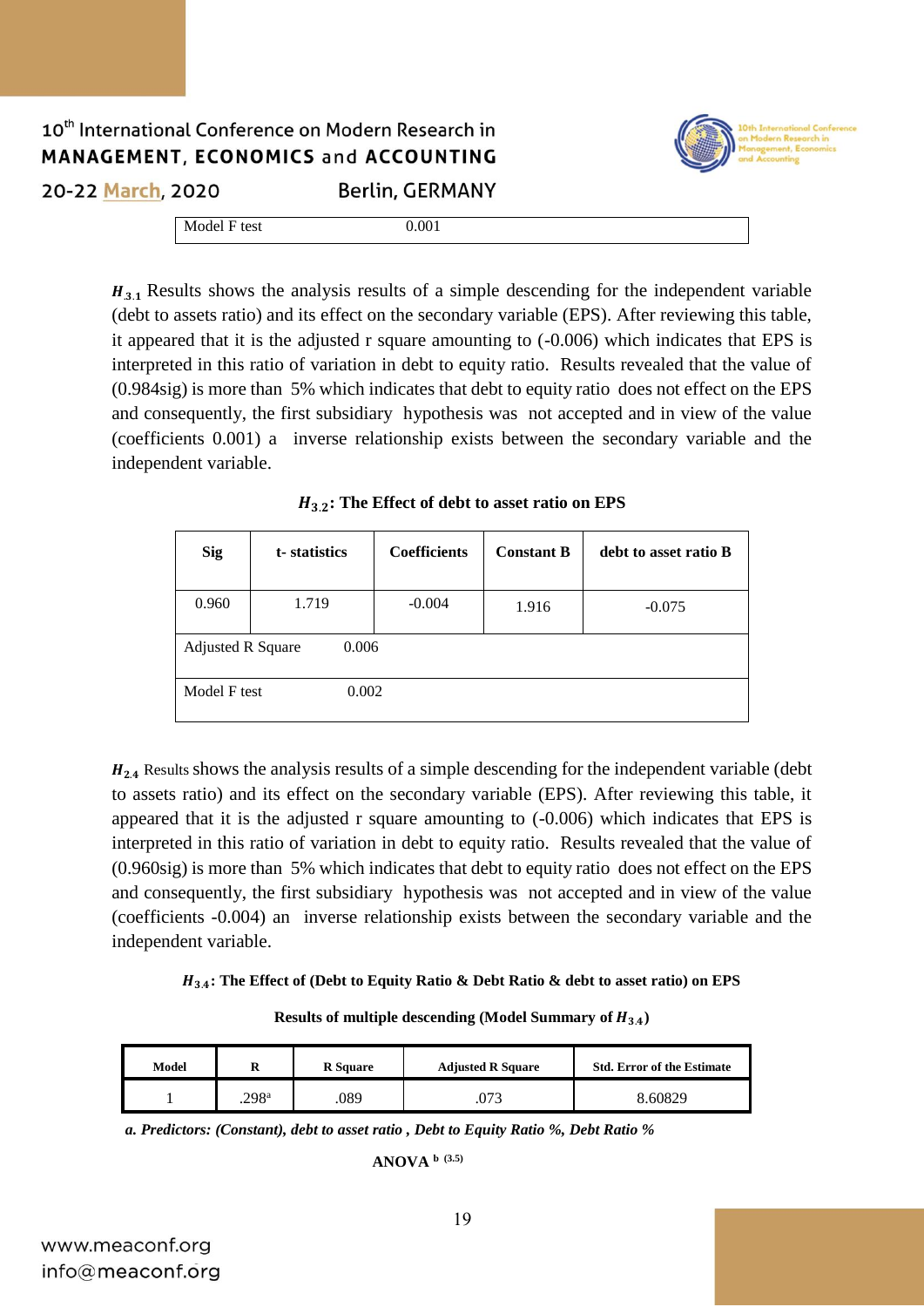

20-22 March, 2020

**Berlin, GERMANY** 

| test<br>M<br>ıΗ<br>$    -$ | $\Omega$ |  |
|----------------------------|----------|--|
|                            |          |  |

 $H_{3,1}$  Results shows the analysis results of a simple descending for the independent variable (debt to assets ratio) and its effect on the secondary variable (EPS). After reviewing this table, it appeared that it is the adjusted r square amounting to (-0.006) which indicates that EPS is interpreted in this ratio of variation in debt to equity ratio. Results revealed that the value of (0.984sig) is more than 5% which indicates that debt to equity ratio does not effect on the EPS and consequently, the first subsidiary hypothesis was not accepted and in view of the value (coefficients 0.001) a inverse relationship exists between the secondary variable and the independent variable.

.**: The Effect of debt to asset ratio on EPS**

| <b>Sig</b>                        | t-statistics | <b>Coefficients</b> | <b>Constant B</b> | debt to asset ratio B |
|-----------------------------------|--------------|---------------------|-------------------|-----------------------|
| 0.960                             | 1.719        | $-0.004$            | 1.916             | $-0.075$              |
| <b>Adjusted R Square</b><br>0.006 |              |                     |                   |                       |
| Model F test<br>0.002             |              |                     |                   |                       |

 $H_{2,4}$  Results shows the analysis results of a simple descending for the independent variable (debt to assets ratio) and its effect on the secondary variable (EPS). After reviewing this table, it appeared that it is the adjusted r square amounting to (-0.006) which indicates that EPS is interpreted in this ratio of variation in debt to equity ratio. Results revealed that the value of (0.960sig) is more than 5% which indicates that debt to equity ratio does not effect on the EPS and consequently, the first subsidiary hypothesis was not accepted and in view of the value (coefficients -0.004) an inverse relationship exists between the secondary variable and the independent variable.

#### .**: The Effect of (Debt to Equity Ratio & Debt Ratio & debt to asset ratio) on EPS**

| Model | R<br><b>R</b> Square |     | <b>Adjusted R Square</b> | <b>Std. Error of the Estimate</b> |  |
|-------|----------------------|-----|--------------------------|-----------------------------------|--|
|       | .298 <sup>a</sup>    | 089 |                          | 8.60829                           |  |

*a. Predictors: (Constant), debt to asset ratio , Debt to Equity Ratio %, Debt Ratio %*

**ANOVA b (3.5)**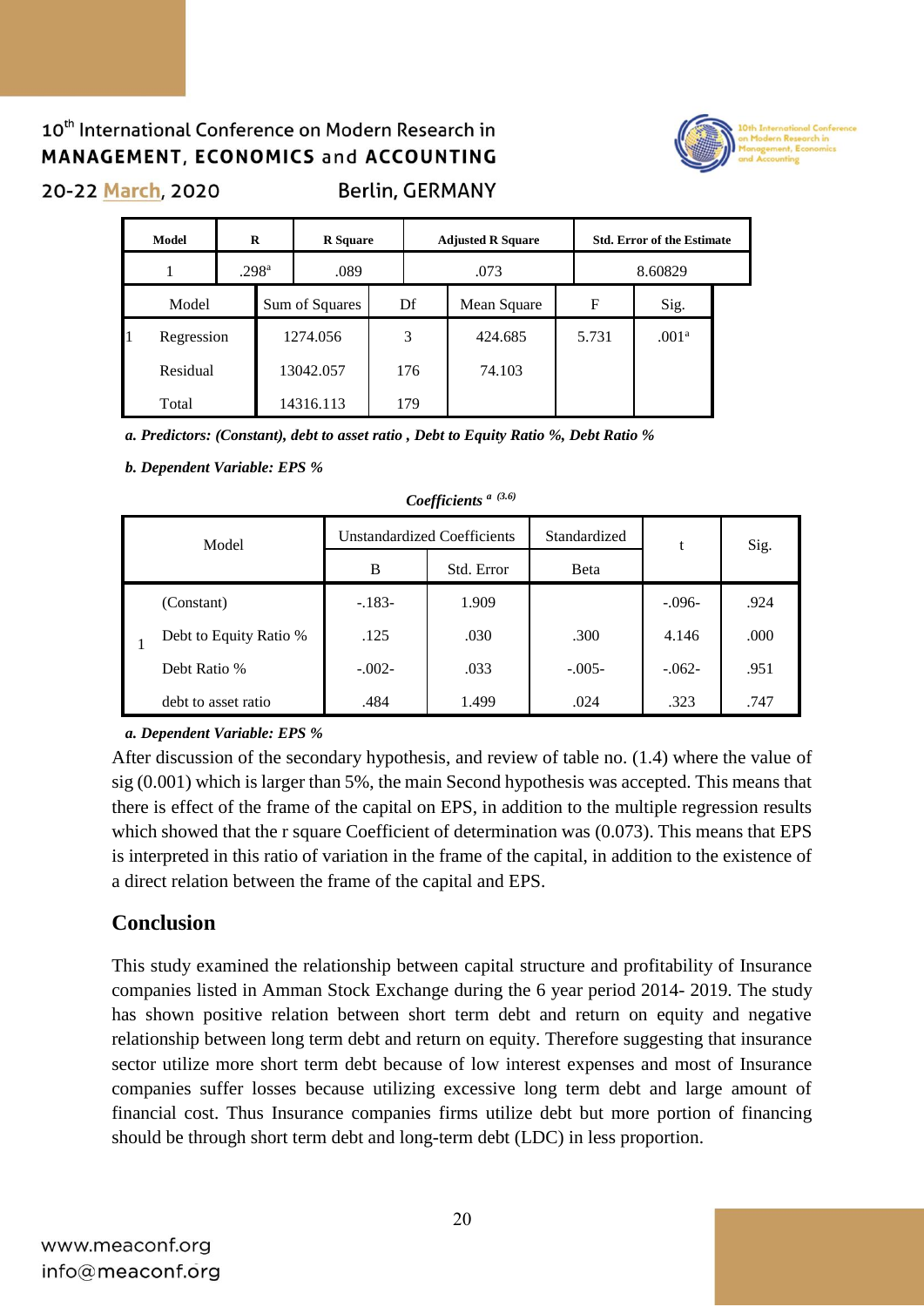

20-22 March, 2020

**Berlin, GERMANY** 

|                | <b>Model</b><br>R |  |                           | <b>R</b> Square |  | <b>Adjusted R Square</b> |             |       | <b>Std. Error of the Estimate</b> |  |  |
|----------------|-------------------|--|---------------------------|-----------------|--|--------------------------|-------------|-------|-----------------------------------|--|--|
|                |                   |  | .298 <sup>a</sup><br>.089 |                 |  | .073                     |             |       | 8.60829                           |  |  |
|                | Model             |  |                           | Sum of Squares  |  | Df                       | Mean Square | F     | Sig.                              |  |  |
| $\overline{1}$ | Regression        |  | 1274.056                  |                 |  | 3                        | 424.685     | 5.731 | .001 <sup>a</sup>                 |  |  |
|                | Residual          |  |                           | 13042.057       |  | 176                      | 74.103      |       |                                   |  |  |
|                | Total             |  |                           | 14316.113       |  | 179                      |             |       |                                   |  |  |

*a. Predictors: (Constant), debt to asset ratio , Debt to Equity Ratio %, Debt Ratio %*

*b. Dependent Variable: EPS %*

| Model |                        |          | <b>Unstandardized Coefficients</b> | Standardized | t        | Sig. |  |
|-------|------------------------|----------|------------------------------------|--------------|----------|------|--|
|       |                        | B        | Std. Error                         | <b>B</b> eta |          |      |  |
|       | (Constant)             | $-.183-$ | 1.909                              |              | $-.096-$ | .924 |  |
|       | Debt to Equity Ratio % | .125     | .030                               | .300         | 4.146    | .000 |  |
|       | Debt Ratio %           | $-.002-$ | .033                               | $-.005-$     | $-.062-$ | .951 |  |
|       | debt to asset ratio    | .484     | 1.499                              | .024         | .323     | .747 |  |

#### *Coefficients a (3.6)*

*a. Dependent Variable: EPS %*

After discussion of the secondary hypothesis, and review of table no. (1.4) where the value of sig (0.001) which is larger than 5%, the main Second hypothesis was accepted. This means that there is effect of the frame of the capital on EPS, in addition to the multiple regression results which showed that the r square Coefficient of determination was  $(0.073)$ . This means that EPS is interpreted in this ratio of variation in the frame of the capital, in addition to the existence of a direct relation between the frame of the capital and EPS.

### **Conclusion**

This study examined the relationship between capital structure and profitability of Insurance companies listed in Amman Stock Exchange during the 6 year period 2014- 2019. The study has shown positive relation between short term debt and return on equity and negative relationship between long term debt and return on equity. Therefore suggesting that insurance sector utilize more short term debt because of low interest expenses and most of Insurance companies suffer losses because utilizing excessive long term debt and large amount of financial cost. Thus Insurance companies firms utilize debt but more portion of financing should be through short term debt and long-term debt (LDC) in less proportion.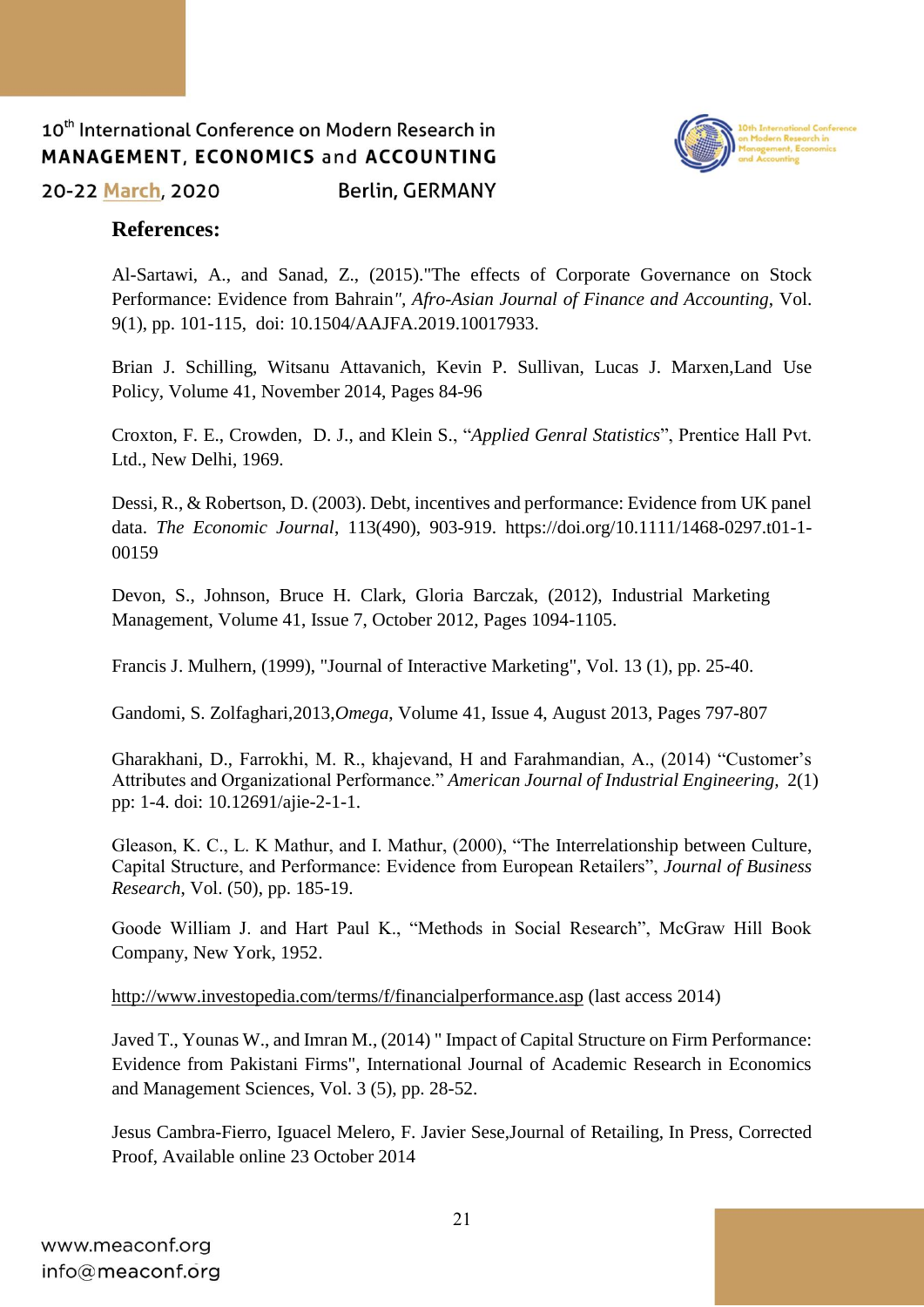

20-22 March, 2020

**Berlin, GERMANY** 

#### **References:**

Al-Sartawi, A., and Sanad, Z., (2015)."The effects of Corporate Governance on Stock Performance: Evidence from Bahrain*", Afro-Asian Journal of Finance and Accounting*, Vol. 9(1), pp. 101-115, doi: 10.1504/AAJFA.2019.10017933.

Brian J. Schilling, Witsanu Attavanich, Kevin P. Sullivan, Lucas J. Marxen,Land Use Policy, Volume 41, November 2014, Pages 84-96

Croxton, F. E., Crowden, D. J., and Klein S., "*Applied Genral Statistics*", Prentice Hall Pvt. Ltd., New Delhi, 1969.

Dessi, R., & Robertson, D. (2003). Debt, incentives and performance: Evidence from UK panel data. *The Economic Journal*, 113(490), 903-919. https://doi.org/10.1111/1468-0297.t01-1- 00159

Devon, S., Johnson, Bruce H. Clark, Gloria Barczak, (2012), Industrial Marketing Management, Volume 41, Issue 7, October 2012, Pages 1094-1105.

Francis J. Mulhern, (1999), "Journal of Interactive Marketing", Vol. 13 (1), pp. 25-40.

Gandomi, S. Zolfaghari,2013,*Omega*, Volume 41, Issue 4, August 2013, Pages 797-807

Gharakhani, D., Farrokhi, M. R., khajevand, H and Farahmandian, A., (2014) "Customer's Attributes and Organizational Performance." *American Journal of Industrial Engineering,* 2(1) pp: 1-4. doi: 10.12691/ajie-2-1-1.

Gleason, K. C., L. K Mathur, and I. Mathur, (2000), "The Interrelationship between Culture, Capital Structure, and Performance: Evidence from European Retailers", *Journal of Business Research*, Vol. (50), pp. 185-19.

Goode William J. and Hart Paul K., "Methods in Social Research", McGraw Hill Book Company, New York, 1952.

<http://www.investopedia.com/terms/f/financialperformance.asp> (last access 2014)

Javed T., Younas W., and Imran M., (2014) " Impact of Capital Structure on Firm Performance: Evidence from Pakistani Firms", International Journal of Academic Research in Economics and Management Sciences, Vol. 3 (5), pp. 28-52.

Jesus Cambra-Fierro, Iguacel Melero, F. Javier Sese,Journal of Retailing, In Press, Corrected Proof, Available online 23 October 2014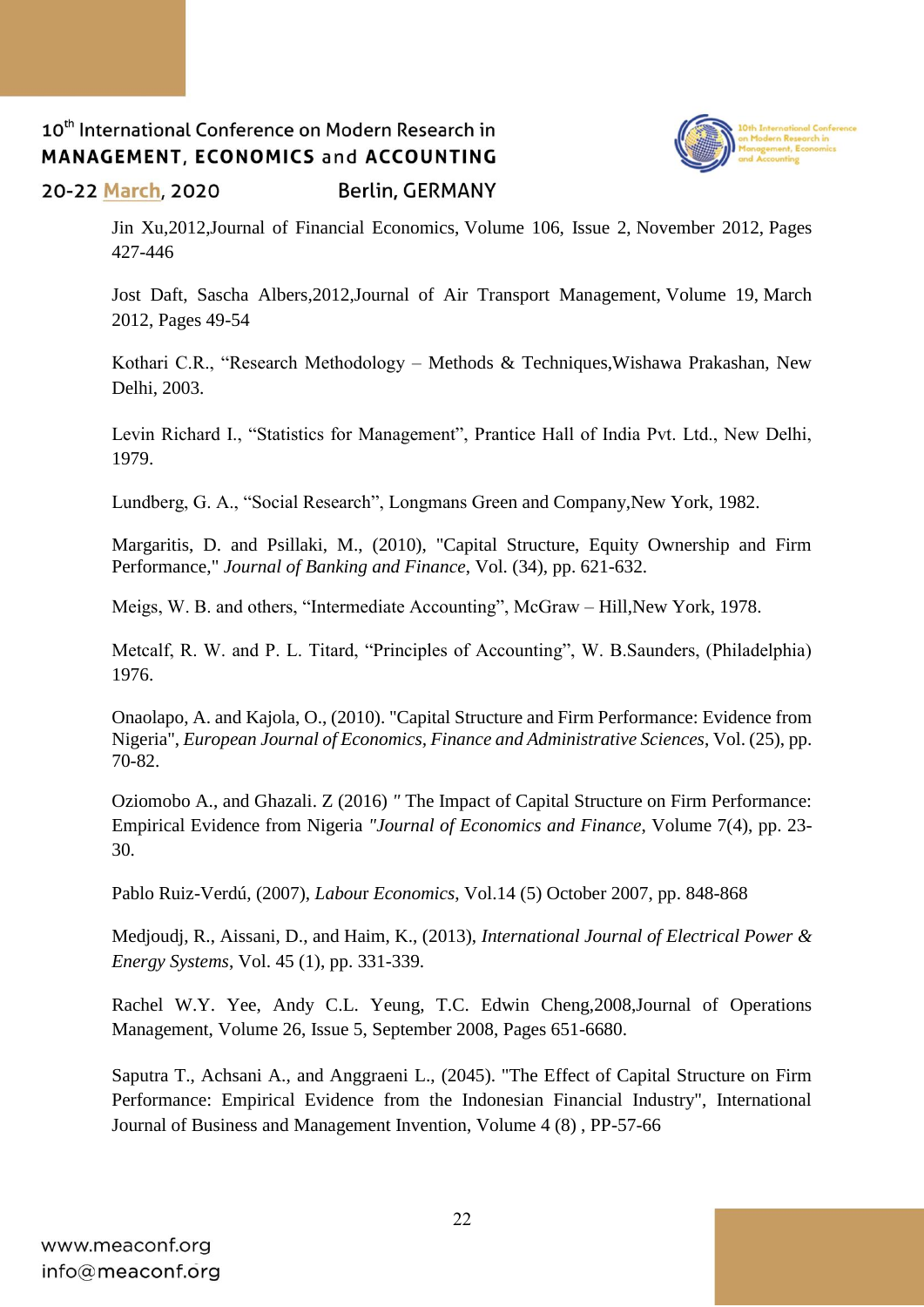

20-22 March, 2020

**Berlin, GERMANY** 

Jin Xu,2012,Journal of Financial Economics, Volume 106, Issue 2, November 2012, Pages 427-446

Jost Daft, Sascha Albers,2012,Journal of Air Transport Management, Volume 19, March 2012, Pages 49-54

Kothari C.R., "Research Methodology – Methods & Techniques,Wishawa Prakashan, New Delhi, 2003.

Levin Richard I., "Statistics for Management", Prantice Hall of India Pvt. Ltd., New Delhi, 1979.

Lundberg, G. A., "Social Research", Longmans Green and Company,New York, 1982.

Margaritis, D. and Psillaki, M., (2010), "Capital Structure, Equity Ownership and Firm Performance," *Journal of Banking and Finance*, Vol. (34), pp. 621-632.

Meigs, W. B. and others, "Intermediate Accounting", McGraw – Hill,New York, 1978.

Metcalf, R. W. and P. L. Titard, "Principles of Accounting", W. B.Saunders, (Philadelphia) 1976.

Onaolapo, A. and Kajola, O., (2010). "Capital Structure and Firm Performance: Evidence from Nigeria", *European Journal of Economics, Finance and Administrative Sciences*, Vol. (25), pp. 70-82.

Oziomobo A., and Ghazali. Z (2016) *"* The Impact of Capital Structure on Firm Performance: Empirical Evidence from Nigeria *"Journal of Economics and Finance*, Volume 7(4), pp. 23- 30.

Pablo Ruiz-Verdú, (2007), *Labou*r *Economics*, Vol.14 (5) October 2007, pp. 848-868

Medjoudj, R., Aissani, D., and Haim, K., (2013), *International Journal of Electrical Power & Energy Systems*, Vol. 45 (1), pp. 331-339.

Rachel W.Y. Yee, Andy C.L. Yeung, T.C. Edwin Cheng,2008,Journal of Operations Management, Volume 26, Issue 5, September 2008, Pages 651-6680.

Saputra T., Achsani A., and Anggraeni L., (2045). "The Effect of Capital Structure on Firm Performance: Empirical Evidence from the Indonesian Financial Industry", International Journal of Business and Management Invention, Volume 4 (8) , PP-57-66